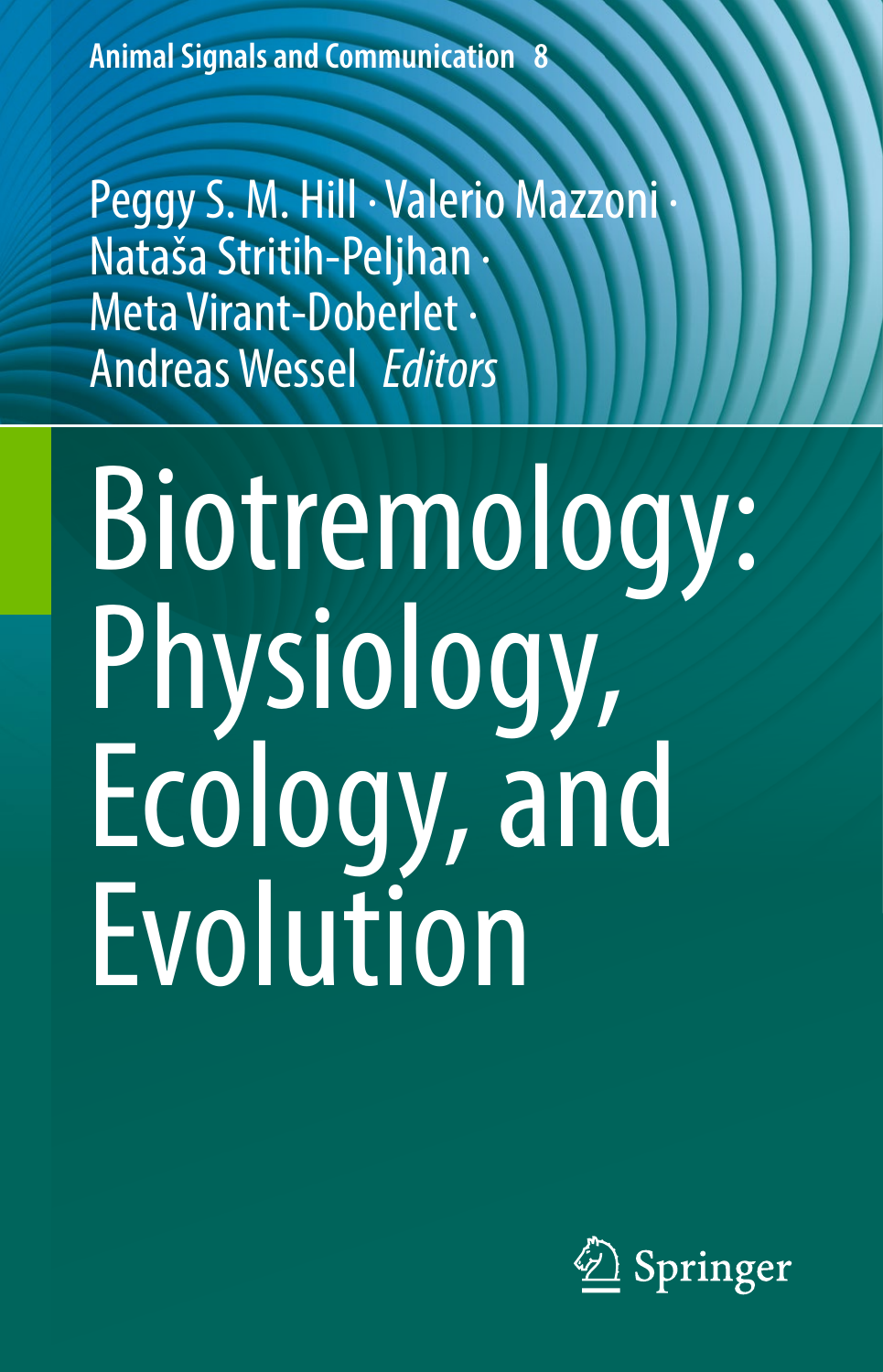<span id="page-0-0"></span>**Animal Signals and Communication 8**

<span id="page-0-1"></span>Peggy S. M. Hill · Valerio Mazzoni Nataša Stritih-Peljhan · Meta Virant-Doberlet · AndreasWessel *Editors*

# Biotremology: Physiology, Ecology, and Evolution

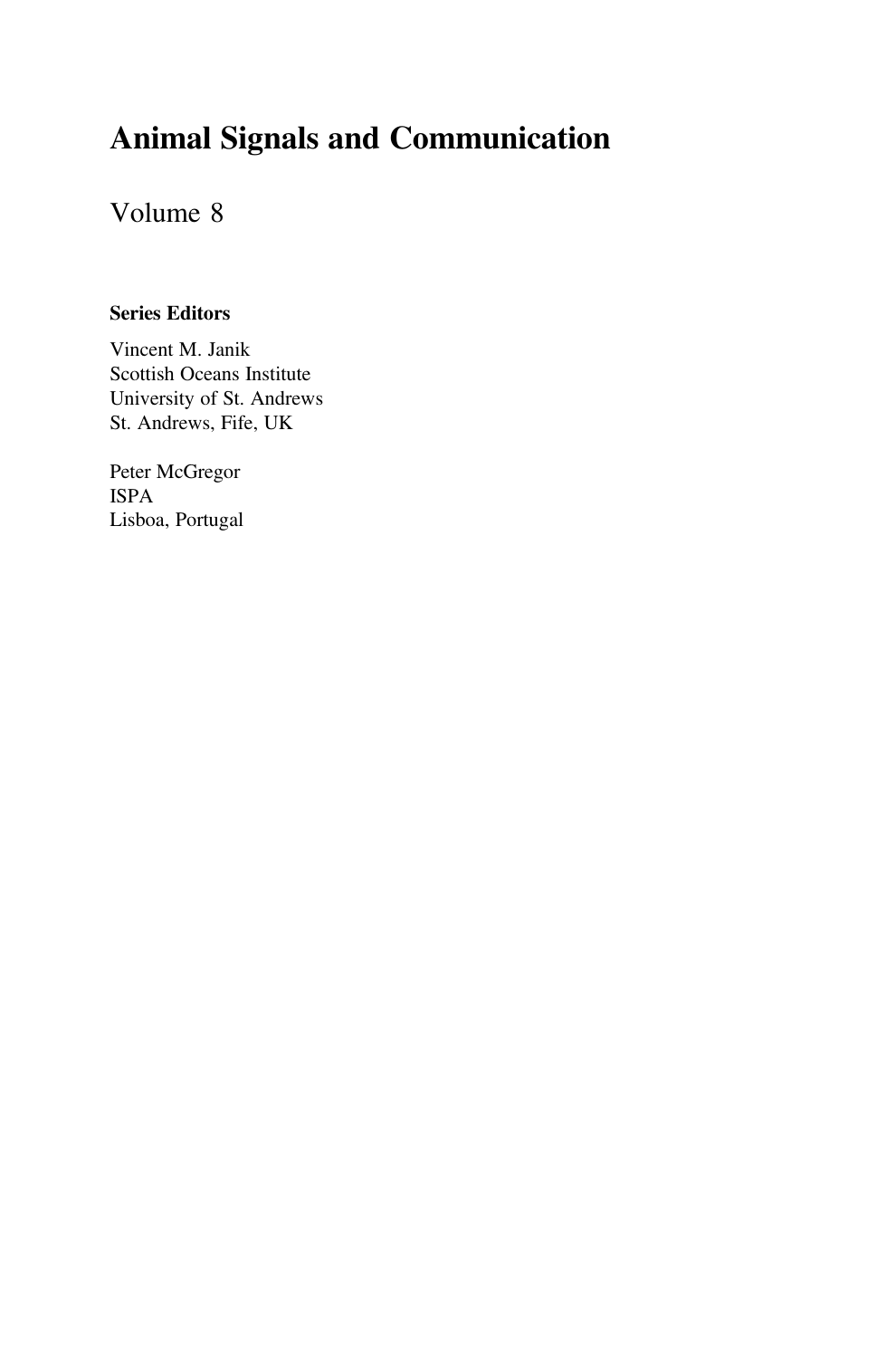# Animal Signals and Communication

## Volume 8

#### Series Editors

Vincent M. Janik Scottish Oceans Institute University of St. Andrews St. Andrews, Fife, UK

Peter McGregor ISPA Lisboa, Portugal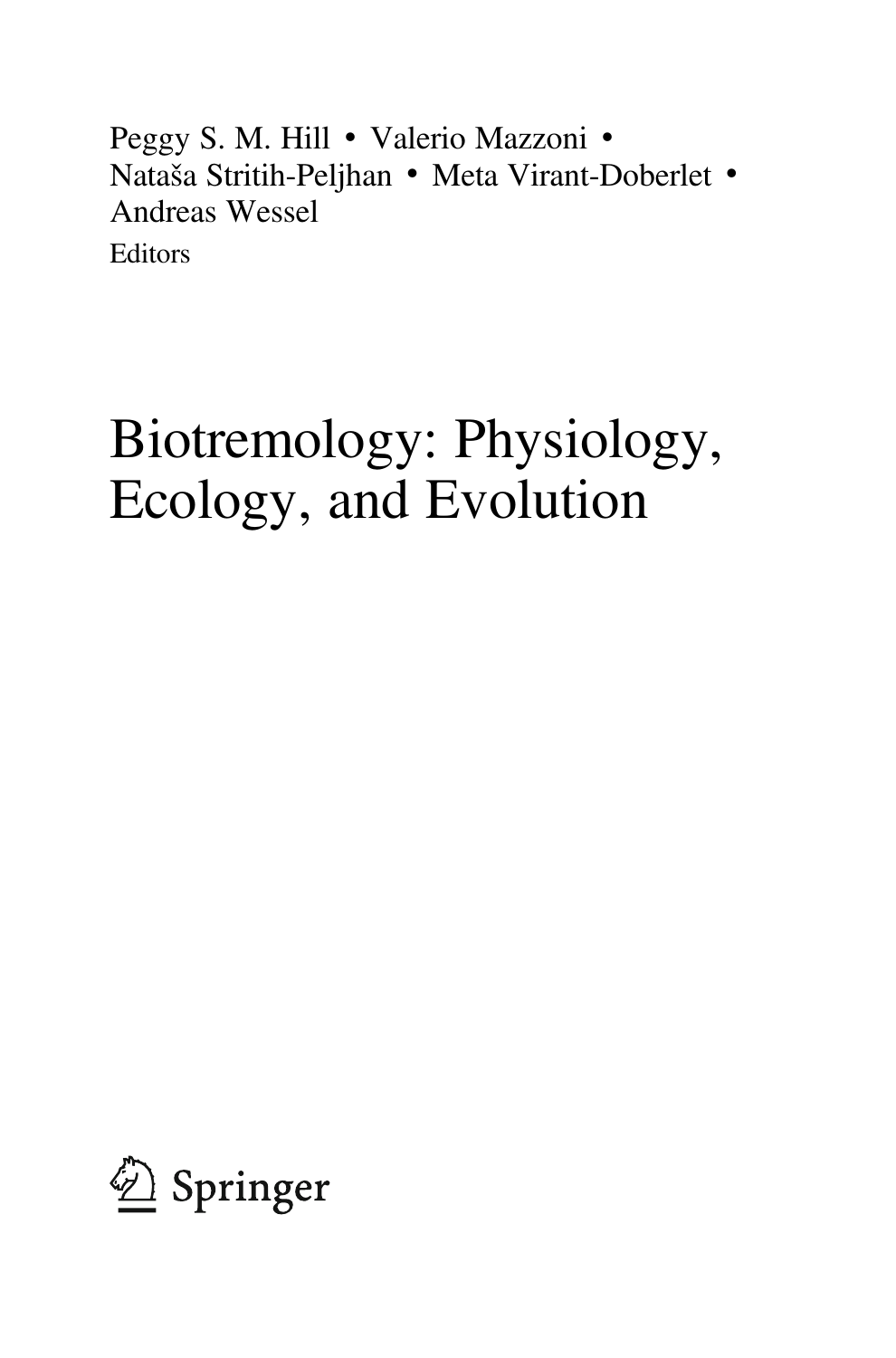Peggy S. M. Hill • Valerio Mazzoni • Nataša Stritih-Peljhan • Meta Virant-Doberlet • Andreas Wessel **Editors** 

# Biotremology: Physiology, Ecology, and Evolution

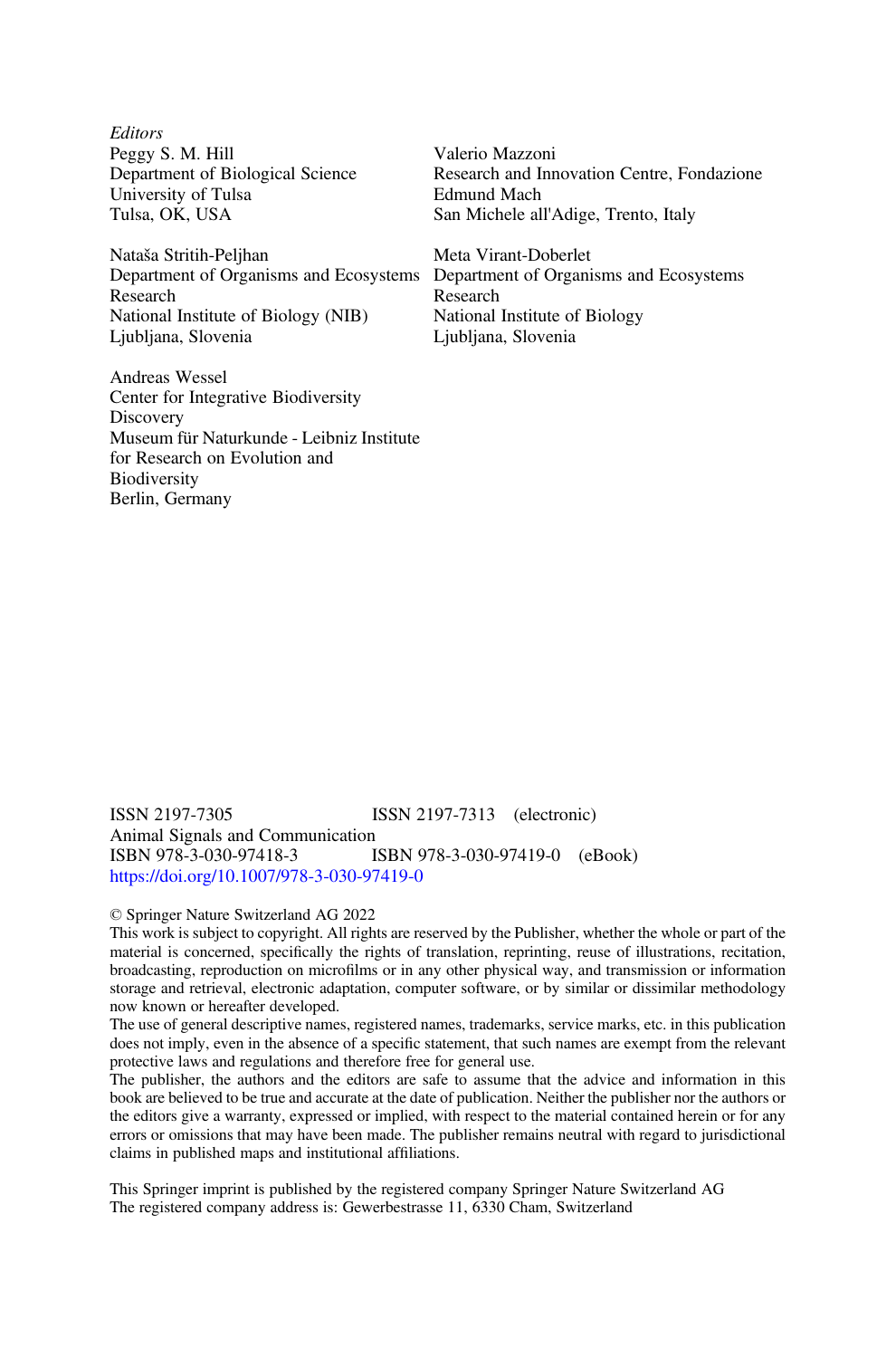**Editors** Peggy S. M. Hill Department of Biological Science University of Tulsa Tulsa, OK, USA

Nataša Stritih-Peljhan Department of Organisms and Ecosystems Research National Institute of Biology (NIB) Ljubljana, Slovenia

Andreas Wessel Center for Integrative Biodiversity **Discovery** Museum für Naturkunde - Leibniz Institute for Research on Evolution and **Biodiversity** Berlin, Germany

Valerio Mazzoni Research and Innovation Centre, Fondazione Edmund Mach San Michele all'Adige, Trento, Italy

Meta Virant-Doberlet Department of Organisms and Ecosystems Research National Institute of Biology Ljubljana, Slovenia

ISSN 2197-7305 ISSN 2197-7313 (electronic) Animal Signals and Communication<br>ISBN 978-3-030-97418-3 ISBN 978-3-030-97419-0 (eBook) <https://doi.org/10.1007/978-3-030-97419-0>

#### © Springer Nature Switzerland AG 2022

This work is subject to copyright. All rights are reserved by the Publisher, whether the whole or part of the material is concerned, specifically the rights of translation, reprinting, reuse of illustrations, recitation, broadcasting, reproduction on microfilms or in any other physical way, and transmission or information storage and retrieval, electronic adaptation, computer software, or by similar or dissimilar methodology now known or hereafter developed.

The use of general descriptive names, registered names, trademarks, service marks, etc. in this publication does not imply, even in the absence of a specific statement, that such names are exempt from the relevant protective laws and regulations and therefore free for general use.

The publisher, the authors and the editors are safe to assume that the advice and information in this book are believed to be true and accurate at the date of publication. Neither the publisher nor the authors or the editors give a warranty, expressed or implied, with respect to the material contained herein or for any errors or omissions that may have been made. The publisher remains neutral with regard to jurisdictional claims in published maps and institutional affiliations.

This Springer imprint is published by the registered company Springer Nature Switzerland AG The registered company address is: Gewerbestrasse 11, 6330 Cham, Switzerland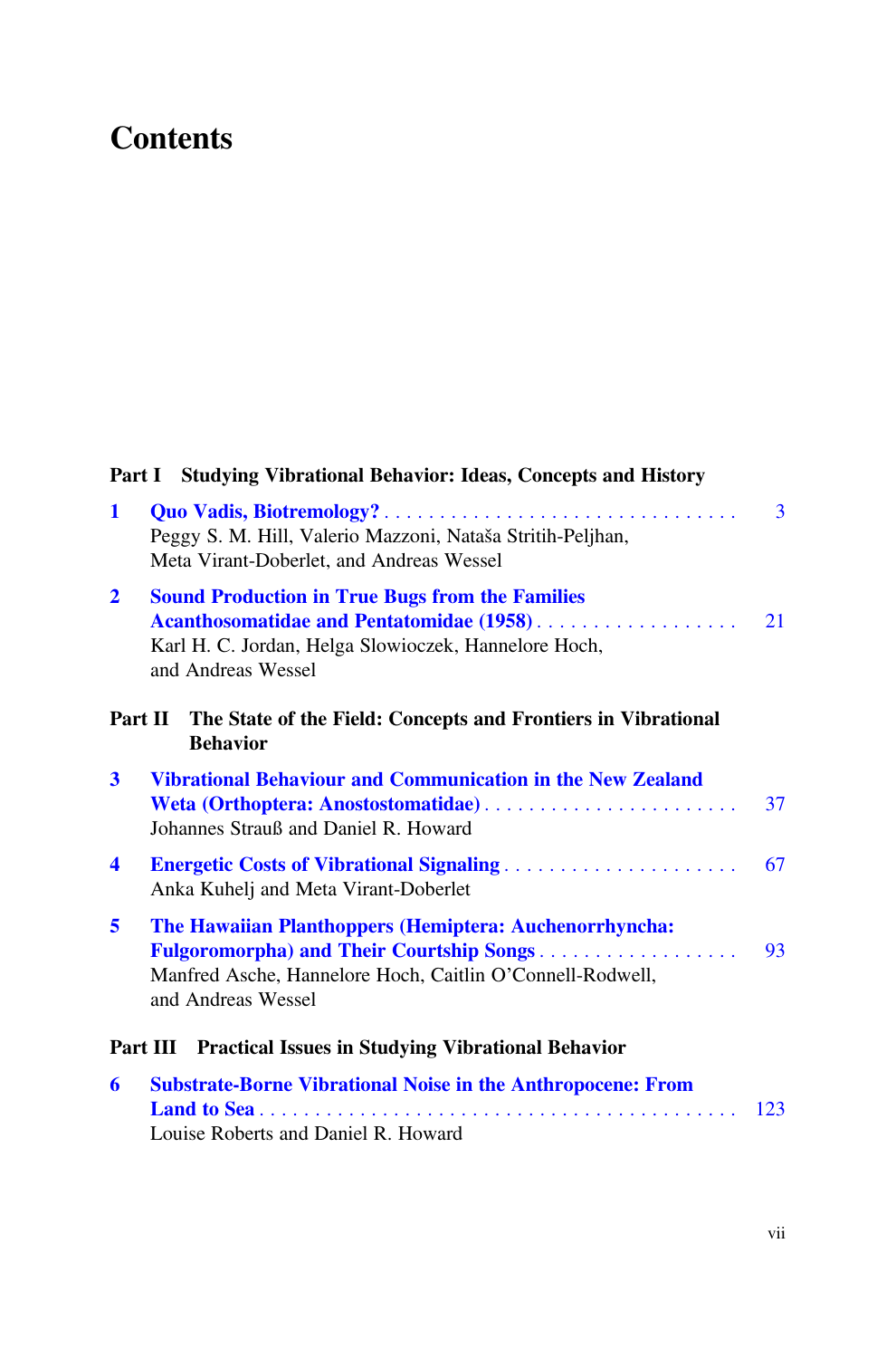# **Contents**

|                      | Part I Studying Vibrational Behavior: Ideas, Concepts and History                                                                                                                           |
|----------------------|---------------------------------------------------------------------------------------------------------------------------------------------------------------------------------------------|
| $\mathbf{1}$         | $\overline{3}$<br>Peggy S. M. Hill, Valerio Mazzoni, Nataša Stritih-Peljhan,<br>Meta Virant-Doberlet, and Andreas Wessel                                                                    |
| $\overline{2}$       | <b>Sound Production in True Bugs from the Families</b><br>Acanthosomatidae and Pentatomidae (1958)<br>21<br>Karl H. C. Jordan, Helga Slowioczek, Hannelore Hoch,<br>and Andreas Wessel      |
| Part II              | The State of the Field: Concepts and Frontiers in Vibrational<br><b>Behavior</b>                                                                                                            |
| $\mathbf{3}$         | <b>Vibrational Behaviour and Communication in the New Zealand</b><br>Weta (Orthoptera: Anostostomatidae)<br>37<br>Johannes Strauß and Daniel R. Howard                                      |
| $\blacktriangleleft$ | 67<br><b>Energetic Costs of Vibrational Signaling </b><br>Anka Kuhelj and Meta Virant-Doberlet                                                                                              |
| 5                    | The Hawaiian Planthoppers (Hemiptera: Auchenorrhyncha:<br>Fulgoromorpha) and Their Courtship Songs<br>93<br>Manfred Asche, Hannelore Hoch, Caitlin O'Connell-Rodwell,<br>and Andreas Wessel |
|                      | Part III Practical Issues in Studying Vibrational Behavior                                                                                                                                  |
| 6                    | <b>Substrate-Borne Vibrational Noise in the Anthropocene: From</b><br>123<br>Louise Roberts and Daniel R. Howard                                                                            |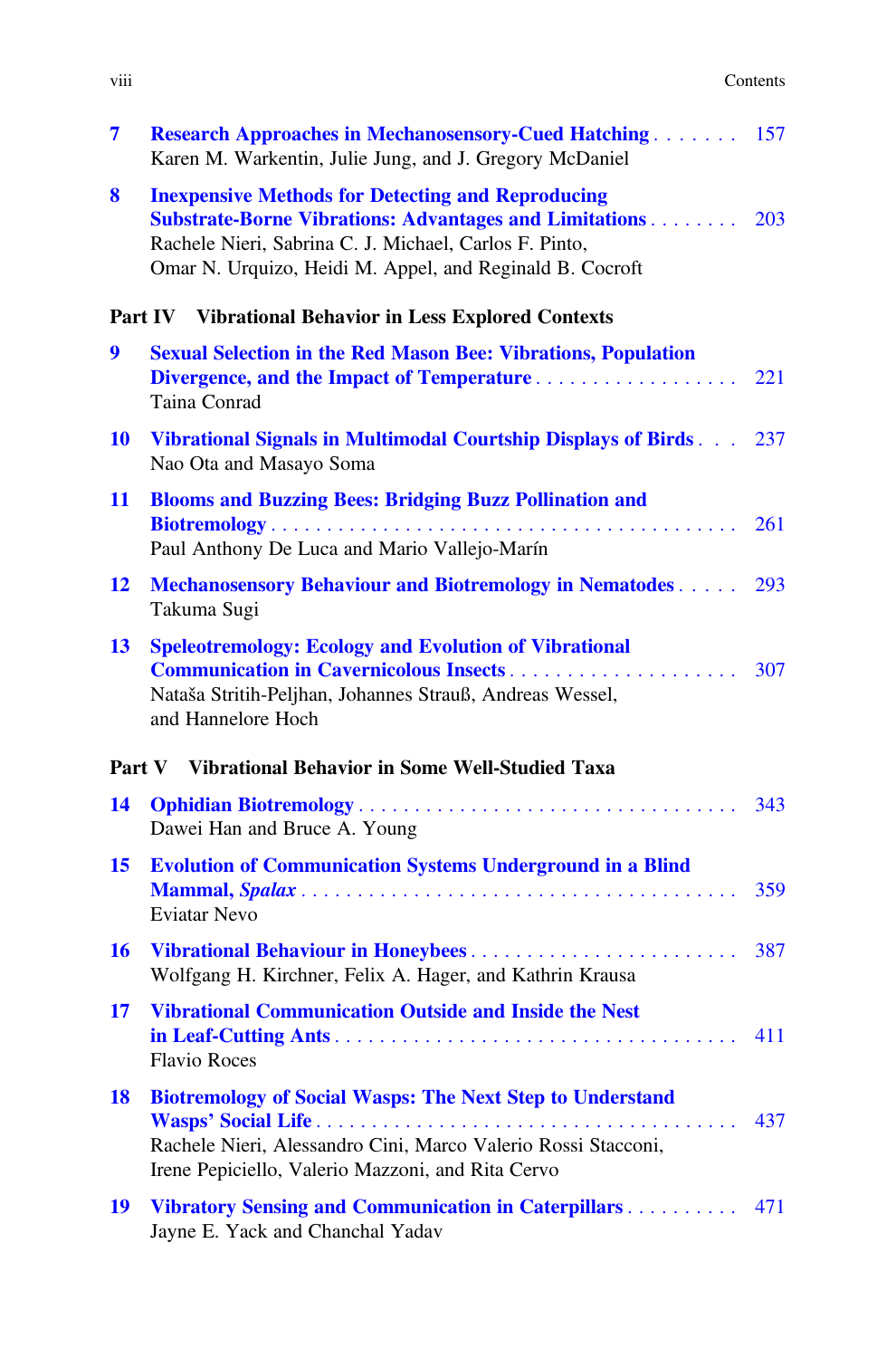| .<br><b>V111</b> | Contents<br>. |
|------------------|---------------|
|                  |               |

| 7         | <b>Research Approaches in Mechanosensory-Cued Hatching 157</b><br>Karen M. Warkentin, Julie Jung, and J. Gregory McDaniel                                                                                                                       |     |
|-----------|-------------------------------------------------------------------------------------------------------------------------------------------------------------------------------------------------------------------------------------------------|-----|
| 8         | <b>Inexpensive Methods for Detecting and Reproducing</b><br><b>Substrate-Borne Vibrations: Advantages and Limitations</b><br>Rachele Nieri, Sabrina C. J. Michael, Carlos F. Pinto,<br>Omar N. Urquizo, Heidi M. Appel, and Reginald B. Cocroft | 203 |
|           | Part IV Vibrational Behavior in Less Explored Contexts                                                                                                                                                                                          |     |
| 9         | <b>Sexual Selection in the Red Mason Bee: Vibrations, Population</b><br>Divergence, and the Impact of Temperature<br>Taina Conrad                                                                                                               | 221 |
| <b>10</b> | Vibrational Signals in Multimodal Courtship Displays of Birds 237<br>Nao Ota and Masayo Soma                                                                                                                                                    |     |
| 11        | <b>Blooms and Buzzing Bees: Bridging Buzz Pollination and</b>                                                                                                                                                                                   |     |
|           | Paul Anthony De Luca and Mario Vallejo-Marín                                                                                                                                                                                                    | 261 |
| 12        | <b>Mechanosensory Behaviour and Biotremology in Nematodes</b><br>Takuma Sugi                                                                                                                                                                    | 293 |
| 13        | <b>Speleotremology: Ecology and Evolution of Vibrational</b><br>Nataša Stritih-Peljhan, Johannes Strauß, Andreas Wessel,<br>and Hannelore Hoch                                                                                                  | 307 |
|           | <b>Vibrational Behavior in Some Well-Studied Taxa</b><br>Part V                                                                                                                                                                                 |     |
| 14        | Dawei Han and Bruce A. Young                                                                                                                                                                                                                    | 343 |
| 15        | <b>Evolution of Communication Systems Underground in a Blind</b><br><b>Eviatar Nevo</b>                                                                                                                                                         | 359 |
| <b>16</b> | Vibrational Behaviour in Honeybees<br>Wolfgang H. Kirchner, Felix A. Hager, and Kathrin Krausa                                                                                                                                                  | 387 |
| 17        | <b>Vibrational Communication Outside and Inside the Nest</b><br><b>Flavio Roces</b>                                                                                                                                                             | 411 |
| <b>18</b> | <b>Biotremology of Social Wasps: The Next Step to Understand</b><br>Rachele Nieri, Alessandro Cini, Marco Valerio Rossi Stacconi,<br>Irene Pepiciello, Valerio Mazzoni, and Rita Cervo                                                          | 437 |
| 19        | Vibratory Sensing and Communication in Caterpillars<br>Jayne E. Yack and Chanchal Yadav                                                                                                                                                         | 471 |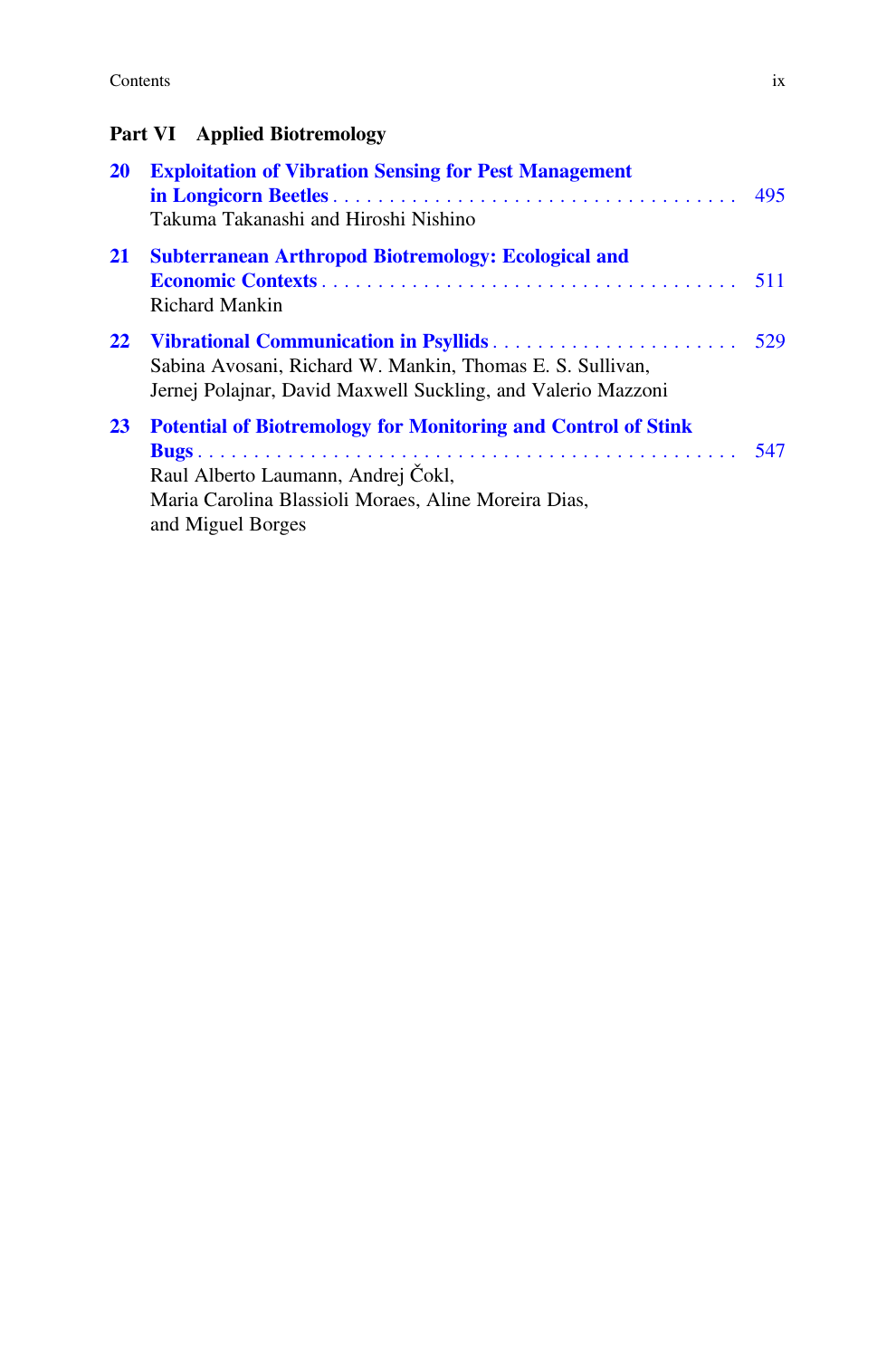#### Contents ix

### Part VI Applied Biotremology

| <b>20</b> | <b>Exploitation of Vibration Sensing for Pest Management</b><br>Takuma Takanashi and Hiroshi Nishino                                                                                    |     |
|-----------|-----------------------------------------------------------------------------------------------------------------------------------------------------------------------------------------|-----|
| 21        | <b>Subterranean Arthropod Biotremology: Ecological and</b><br>Richard Mankin                                                                                                            |     |
| 22        | Sabina Avosani, Richard W. Mankin, Thomas E. S. Sullivan,<br>Jernej Polajnar, David Maxwell Suckling, and Valerio Mazzoni                                                               | 529 |
| 23        | <b>Potential of Biotremology for Monitoring and Control of Stink</b><br>Raul Alberto Laumann, Andrej Čokl,<br>Maria Carolina Blassioli Moraes, Aline Moreira Dias,<br>and Miguel Borges |     |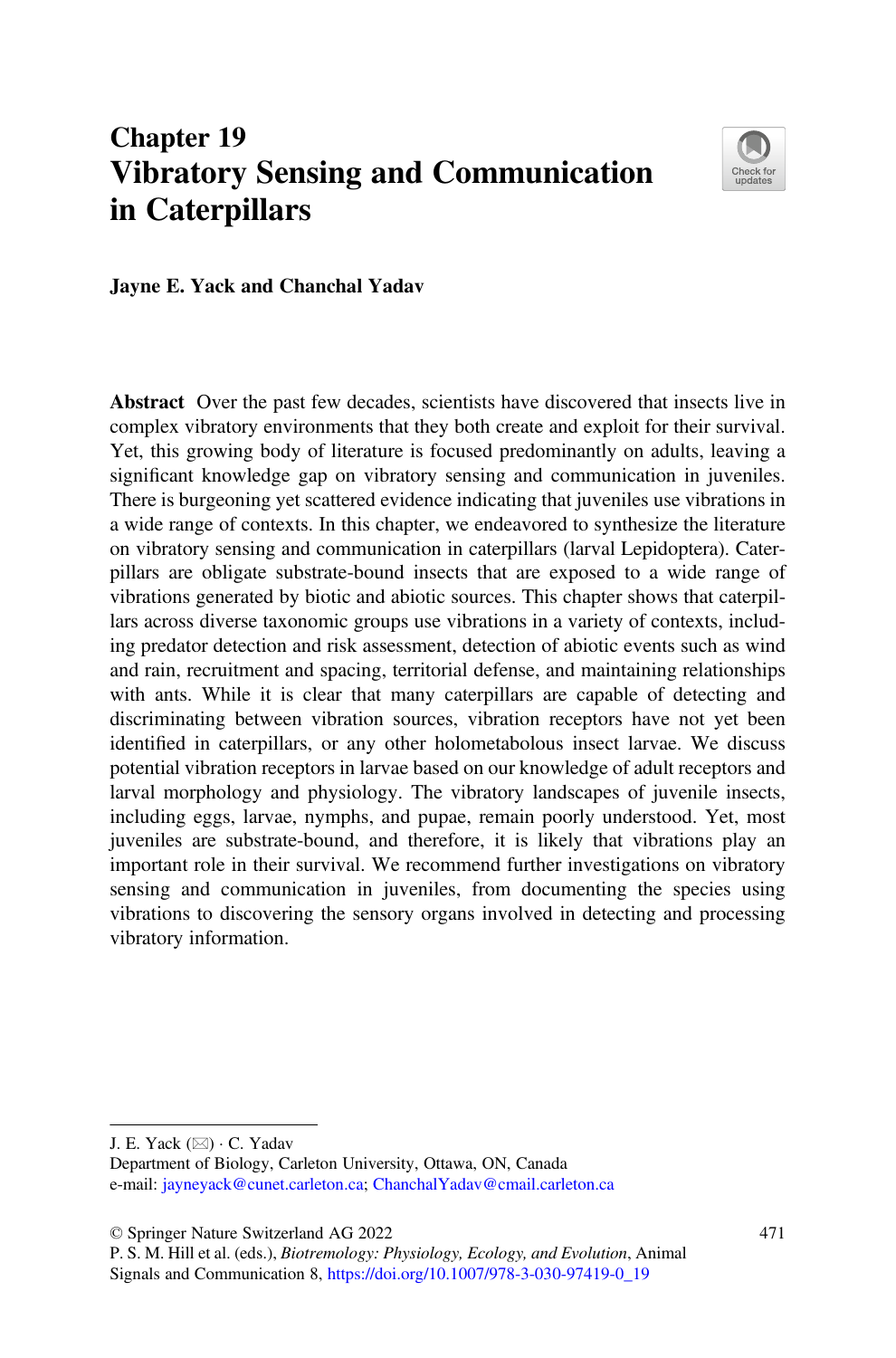# <span id="page-7-0"></span>Chapter 19 Vibratory Sensing and Communication in Caterpillars



Jayne E. Yack and Chanchal Yadav

Abstract Over the past few decades, scientists have discovered that insects live in complex vibratory environments that they both create and exploit for their survival. Yet, this growing body of literature is focused predominantly on adults, leaving a significant knowledge gap on vibratory sensing and communication in juveniles. There is burgeoning yet scattered evidence indicating that juveniles use vibrations in a wide range of contexts. In this chapter, we endeavored to synthesize the literature on vibratory sensing and communication in caterpillars (larval Lepidoptera). Caterpillars are obligate substrate-bound insects that are exposed to a wide range of vibrations generated by biotic and abiotic sources. This chapter shows that caterpillars across diverse taxonomic groups use vibrations in a variety of contexts, including predator detection and risk assessment, detection of abiotic events such as wind and rain, recruitment and spacing, territorial defense, and maintaining relationships with ants. While it is clear that many caterpillars are capable of detecting and discriminating between vibration sources, vibration receptors have not yet been identified in caterpillars, or any other holometabolous insect larvae. We discuss potential vibration receptors in larvae based on our knowledge of adult receptors and larval morphology and physiology. The vibratory landscapes of juvenile insects, including eggs, larvae, nymphs, and pupae, remain poorly understood. Yet, most juveniles are substrate-bound, and therefore, it is likely that vibrations play an important role in their survival. We recommend further investigations on vibratory sensing and communication in juveniles, from documenting the species using vibrations to discovering the sensory organs involved in detecting and processing vibratory information.

© Springer Nature Switzerland AG 2022

J. E. Yack ( $\boxtimes$ ) · C. Yadav

Department of Biology, Carleton University, Ottawa, ON, Canada e-mail: [jayneyack@cunet.carleton.ca](mailto:jayneyack@cunet.carleton.ca); [ChanchalYadav@cmail.carleton.ca](mailto:ChanchalYadav@cmail.carleton.ca)

P. S. M. Hill et al. (eds.), Biotremology: Physiology, Ecology, and Evolution, Animal Signals and Communication 8, [https://doi.org/10.1007/978-3-030-97419-0\\_19](https://doi.org/10.1007/978-3-030-97419-0_19#DOI)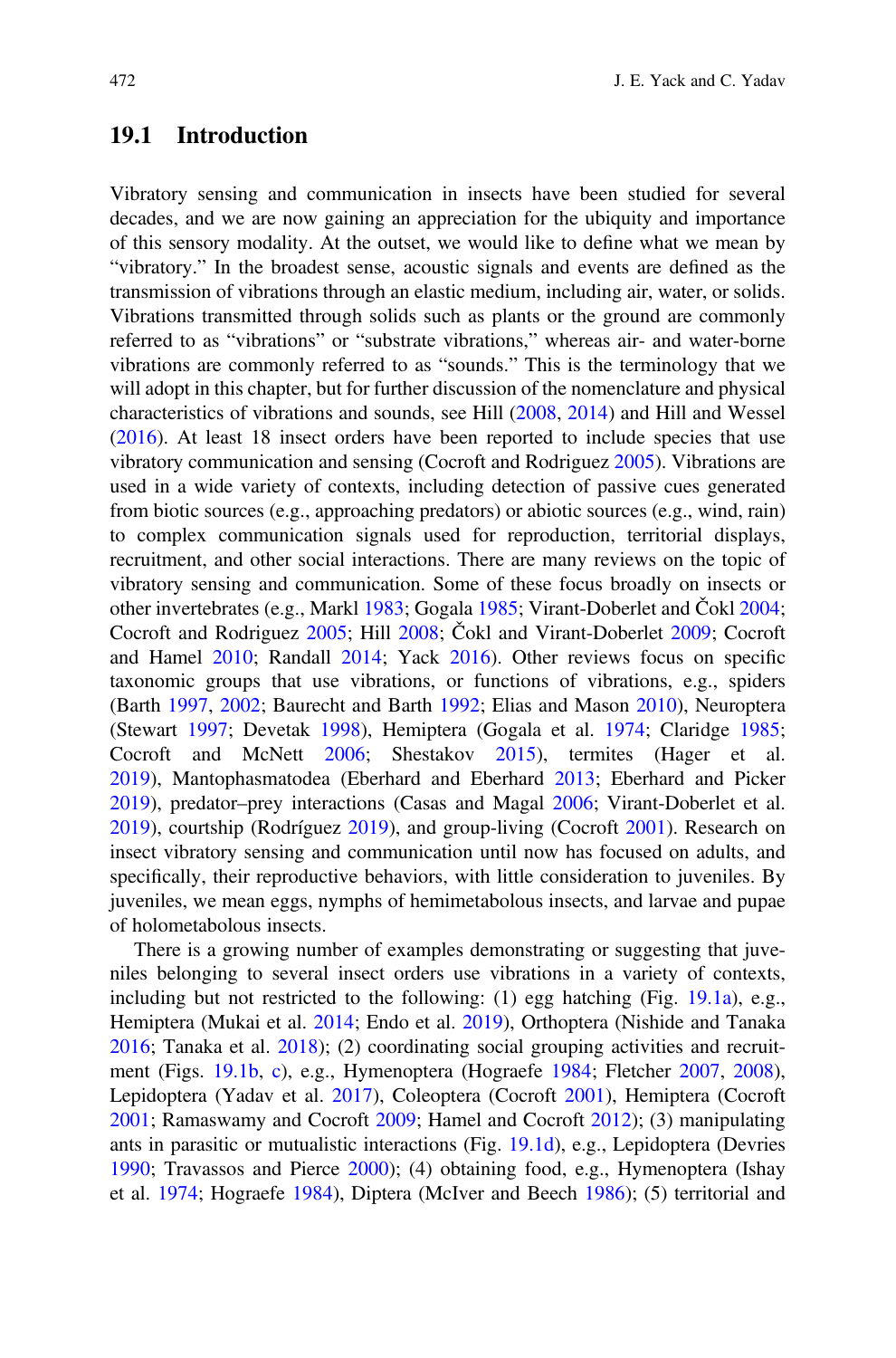#### 19.1 Introduction

Vibratory sensing and communication in insects have been studied for several decades, and we are now gaining an appreciation for the ubiquity and importance of this sensory modality. At the outset, we would like to define what we mean by "vibratory." In the broadest sense, acoustic signals and events are defined as the transmission of vibrations through an elastic medium, including air, water, or solids. Vibrations transmitted through solids such as plants or the ground are commonly referred to as "vibrations" or "substrate vibrations," whereas air- and water-borne vibrations are commonly referred to as "sounds." This is the terminology that we will adopt in this chapter, but for further discussion of the nomenclature and physical characteristics of vibrations and sounds, see Hill [\(2008](#page-23-0), [2014](#page-23-0)) and Hill and Wessel [\(2016](#page-23-0)). At least 18 insect orders have been reported to include species that use vibratory communication and sensing (Cocroft and Rodriguez [2005](#page-21-0)). Vibrations are used in a wide variety of contexts, including detection of passive cues generated from biotic sources (e.g., approaching predators) or abiotic sources (e.g., wind, rain) to complex communication signals used for reproduction, territorial displays, recruitment, and other social interactions. There are many reviews on the topic of vibratory sensing and communication. Some of these focus broadly on insects or other invertebrates (e.g., Markl [1983](#page-24-0); Gogala [1985](#page-23-0); Virant-Doberlet and Čokl [2004;](#page-26-0) Cocroft and Rodriguez [2005](#page-21-0); Hill [2008](#page-23-0); Čokl and Virant-Doberlet [2009](#page-21-0); Cocroft and Hamel [2010](#page-21-0); Randall [2014](#page-25-0); Yack [2016\)](#page-26-0). Other reviews focus on specific taxonomic groups that use vibrations, or functions of vibrations, e.g., spiders (Barth [1997](#page-21-0), [2002;](#page-21-0) Baurecht and Barth [1992;](#page-21-0) Elias and Mason [2010](#page-22-0)), Neuroptera (Stewart [1997;](#page-26-0) Devetak [1998](#page-22-0)), Hemiptera (Gogala et al. [1974;](#page-23-0) Claridge [1985;](#page-21-0) Cocroft and McNett [2006](#page-21-0); Shestakov [2015](#page-26-0)), termites (Hager et al. [2019\)](#page-23-0), Mantophasmatodea (Eberhard and Eberhard [2013](#page-22-0); Eberhard and Picker [2019\)](#page-22-0), predator–prey interactions (Casas and Magal [2006](#page-21-0); Virant-Doberlet et al. [2019\)](#page-26-0), courtship (Rodríguez [2019\)](#page-25-0), and group-living (Cocroft [2001](#page-21-0)). Research on insect vibratory sensing and communication until now has focused on adults, and specifically, their reproductive behaviors, with little consideration to juveniles. By juveniles, we mean eggs, nymphs of hemimetabolous insects, and larvae and pupae of holometabolous insects.

There is a growing number of examples demonstrating or suggesting that juveniles belonging to several insect orders use vibrations in a variety of contexts, including but not restricted to the following: (1) egg hatching (Fig. [19.1a\)](#page-9-0), e.g., Hemiptera (Mukai et al. [2014;](#page-24-0) Endo et al. [2019\)](#page-22-0), Orthoptera (Nishide and Tanaka [2016;](#page-24-0) Tanaka et al. [2018](#page-26-0)); (2) coordinating social grouping activities and recruitment (Figs. [19.1b,](#page-9-0) [c\)](#page-9-0), e.g., Hymenoptera (Hograefe [1984](#page-24-0); Fletcher [2007](#page-22-0), [2008\)](#page-23-0), Lepidoptera (Yadav et al. [2017\)](#page-27-0), Coleoptera (Cocroft [2001](#page-21-0)), Hemiptera (Cocroft [2001;](#page-21-0) Ramaswamy and Cocroft [2009](#page-25-0); Hamel and Cocroft [2012\)](#page-23-0); (3) manipulating ants in parasitic or mutualistic interactions (Fig. [19.1d\)](#page-9-0), e.g., Lepidoptera (Devries [1990;](#page-22-0) Travassos and Pierce [2000\)](#page-26-0); (4) obtaining food, e.g., Hymenoptera (Ishay et al. [1974](#page-24-0); Hograefe [1984](#page-24-0)), Diptera (McIver and Beech [1986\)](#page-24-0); (5) territorial and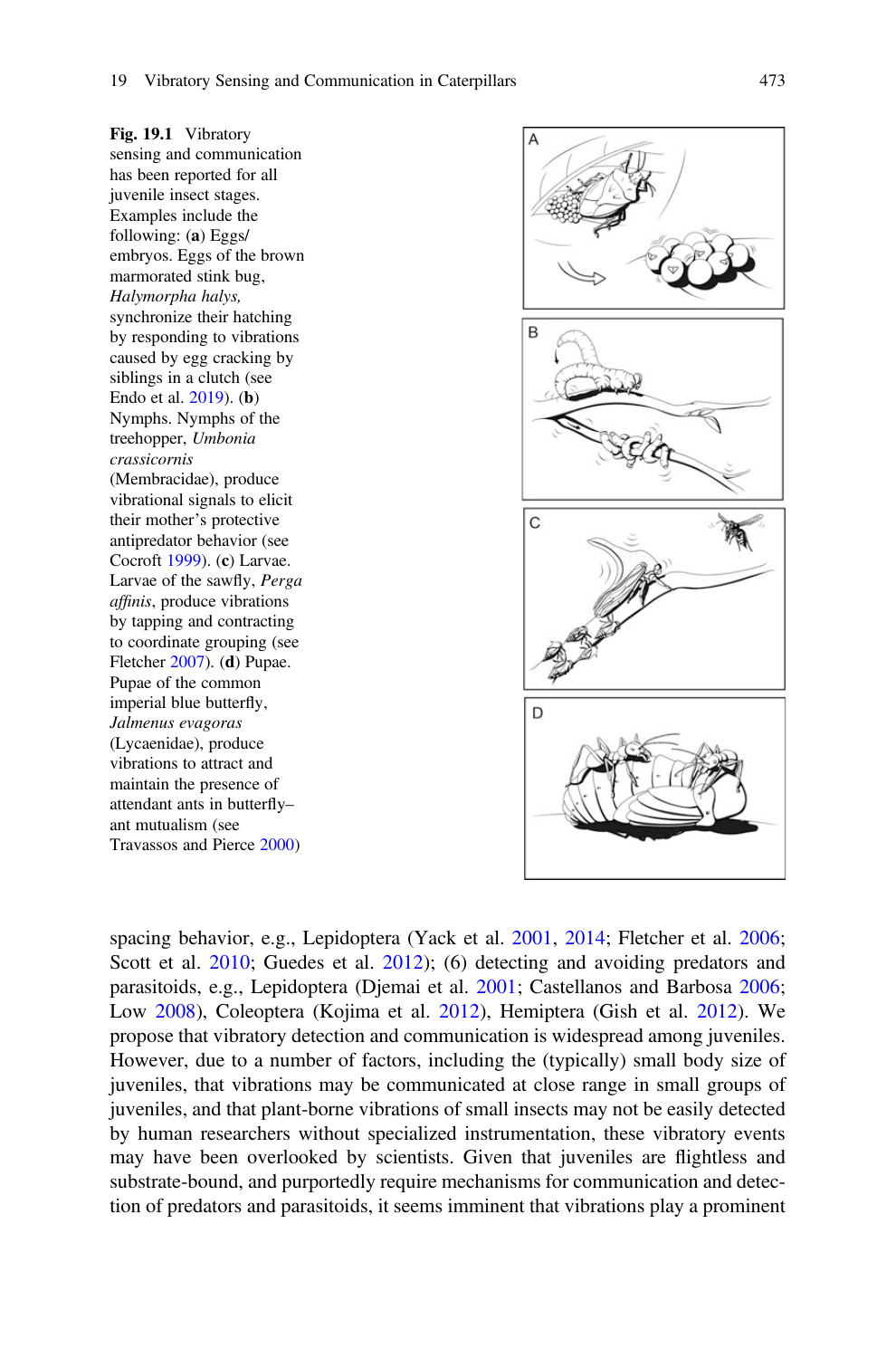<span id="page-9-0"></span>Fig. 19.1 Vibratory sensing and communication has been reported for all juvenile insect stages. Examples include the following: (a) Eggs/ embryos. Eggs of the brown marmorated stink bug, Halymorpha halys, synchronize their hatching by responding to vibrations caused by egg cracking by siblings in a clutch (see Endo et al. [2019\)](#page-22-0). (b) Nymphs. Nymphs of the treehopper, Umbonia crassicornis (Membracidae), produce vibrational signals to elicit their mother's protective antipredator behavior (see Cocroft [1999\)](#page-21-0). (c) Larvae. Larvae of the sawfly, Perga affinis, produce vibrations by tapping and contracting to coordinate grouping (see Fletcher [2007\)](#page-22-0). (d) Pupae. Pupae of the common imperial blue butterfly, Jalmenus evagoras (Lycaenidae), produce vibrations to attract and maintain the presence of attendant ants in butterfly– ant mutualism (see Travassos and Pierce [2000](#page-26-0))



spacing behavior, e.g., Lepidoptera (Yack et al. [2001](#page-26-0), [2014](#page-27-0); Fletcher et al. [2006;](#page-23-0) Scott et al. [2010;](#page-26-0) Guedes et al. [2012\)](#page-23-0); (6) detecting and avoiding predators and parasitoids, e.g., Lepidoptera (Djemai et al. [2001;](#page-22-0) Castellanos and Barbosa [2006;](#page-21-0) Low [2008](#page-24-0)), Coleoptera (Kojima et al. [2012](#page-24-0)), Hemiptera (Gish et al. [2012\)](#page-23-0). We propose that vibratory detection and communication is widespread among juveniles. However, due to a number of factors, including the (typically) small body size of juveniles, that vibrations may be communicated at close range in small groups of juveniles, and that plant-borne vibrations of small insects may not be easily detected by human researchers without specialized instrumentation, these vibratory events may have been overlooked by scientists. Given that juveniles are flightless and substrate-bound, and purportedly require mechanisms for communication and detection of predators and parasitoids, it seems imminent that vibrations play a prominent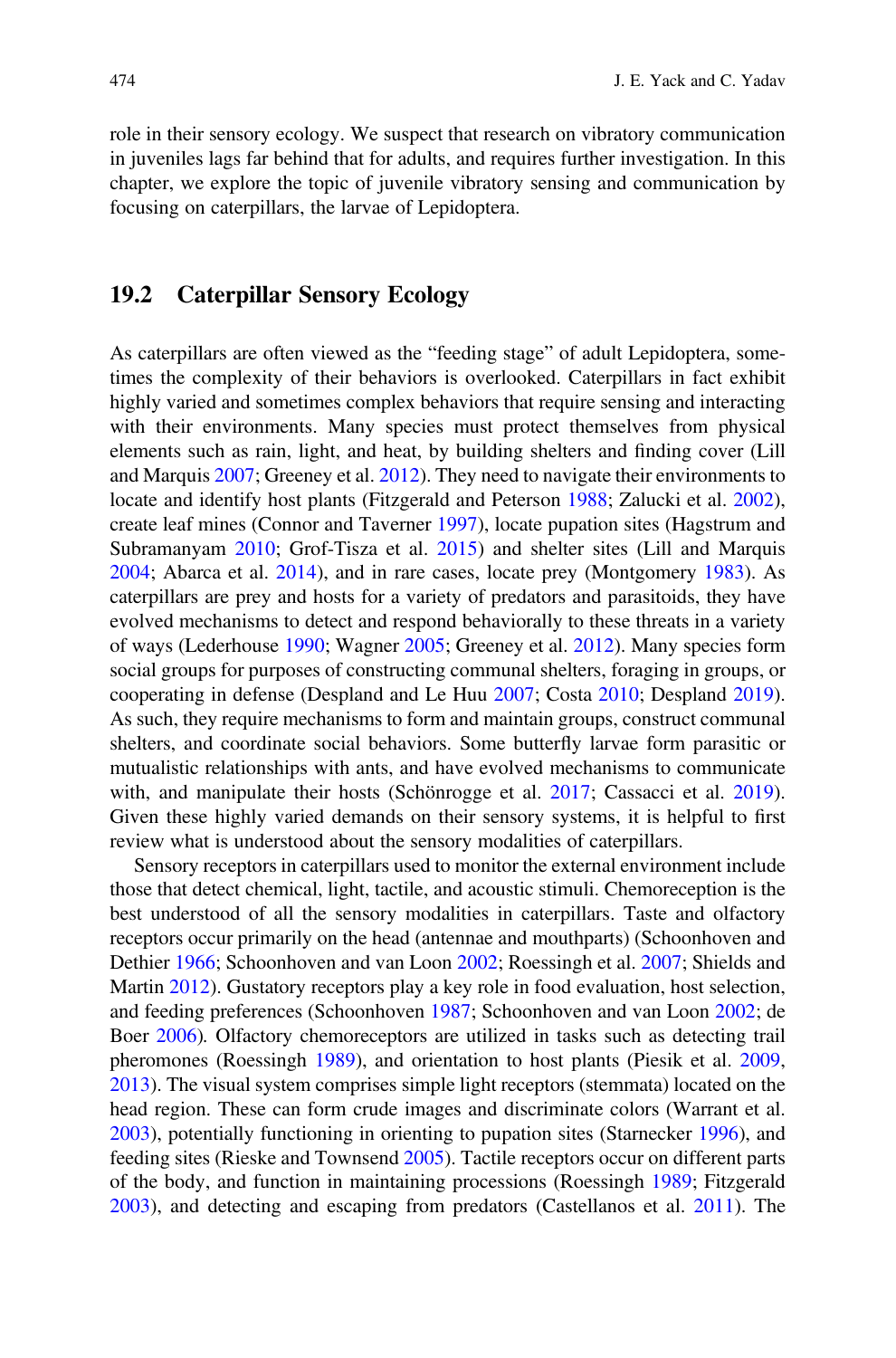role in their sensory ecology. We suspect that research on vibratory communication in juveniles lags far behind that for adults, and requires further investigation. In this chapter, we explore the topic of juvenile vibratory sensing and communication by focusing on caterpillars, the larvae of Lepidoptera.

#### 19.2 Caterpillar Sensory Ecology

As caterpillars are often viewed as the "feeding stage" of adult Lepidoptera, sometimes the complexity of their behaviors is overlooked. Caterpillars in fact exhibit highly varied and sometimes complex behaviors that require sensing and interacting with their environments. Many species must protect themselves from physical elements such as rain, light, and heat, by building shelters and finding cover (Lill and Marquis [2007](#page-24-0); Greeney et al. [2012\)](#page-23-0). They need to navigate their environments to locate and identify host plants (Fitzgerald and Peterson [1988](#page-22-0); Zalucki et al. [2002\)](#page-27-0), create leaf mines (Connor and Taverner [1997](#page-21-0)), locate pupation sites (Hagstrum and Subramanyam [2010](#page-23-0); Grof-Tisza et al. [2015](#page-23-0)) and shelter sites (Lill and Marquis [2004;](#page-24-0) Abarca et al. [2014](#page-21-0)), and in rare cases, locate prey (Montgomery [1983](#page-24-0)). As caterpillars are prey and hosts for a variety of predators and parasitoids, they have evolved mechanisms to detect and respond behaviorally to these threats in a variety of ways (Lederhouse [1990](#page-24-0); Wagner [2005](#page-26-0); Greeney et al. [2012](#page-23-0)). Many species form social groups for purposes of constructing communal shelters, foraging in groups, or cooperating in defense (Despland and Le Huu [2007](#page-22-0); Costa [2010;](#page-22-0) Despland [2019\)](#page-22-0). As such, they require mechanisms to form and maintain groups, construct communal shelters, and coordinate social behaviors. Some butterfly larvae form parasitic or mutualistic relationships with ants, and have evolved mechanisms to communicate with, and manipulate their hosts (Schönrogge et al. [2017;](#page-25-0) Cassacci et al. [2019\)](#page-21-0). Given these highly varied demands on their sensory systems, it is helpful to first review what is understood about the sensory modalities of caterpillars.

Sensory receptors in caterpillars used to monitor the external environment include those that detect chemical, light, tactile, and acoustic stimuli. Chemoreception is the best understood of all the sensory modalities in caterpillars. Taste and olfactory receptors occur primarily on the head (antennae and mouthparts) (Schoonhoven and Dethier [1966;](#page-25-0) Schoonhoven and van Loon [2002](#page-25-0); Roessingh et al. [2007;](#page-25-0) Shields and Martin [2012](#page-26-0)). Gustatory receptors play a key role in food evaluation, host selection, and feeding preferences (Schoonhoven [1987](#page-25-0); Schoonhoven and van Loon [2002;](#page-25-0) de Boer [2006\)](#page-22-0). Olfactory chemoreceptors are utilized in tasks such as detecting trail pheromones (Roessingh [1989](#page-25-0)), and orientation to host plants (Piesik et al. [2009](#page-25-0), [2013\)](#page-25-0). The visual system comprises simple light receptors (stemmata) located on the head region. These can form crude images and discriminate colors (Warrant et al. [2003\)](#page-26-0), potentially functioning in orienting to pupation sites (Starnecker [1996](#page-26-0)), and feeding sites (Rieske and Townsend [2005](#page-25-0)). Tactile receptors occur on different parts of the body, and function in maintaining processions (Roessingh [1989;](#page-25-0) Fitzgerald [2003\)](#page-22-0), and detecting and escaping from predators (Castellanos et al. [2011](#page-21-0)). The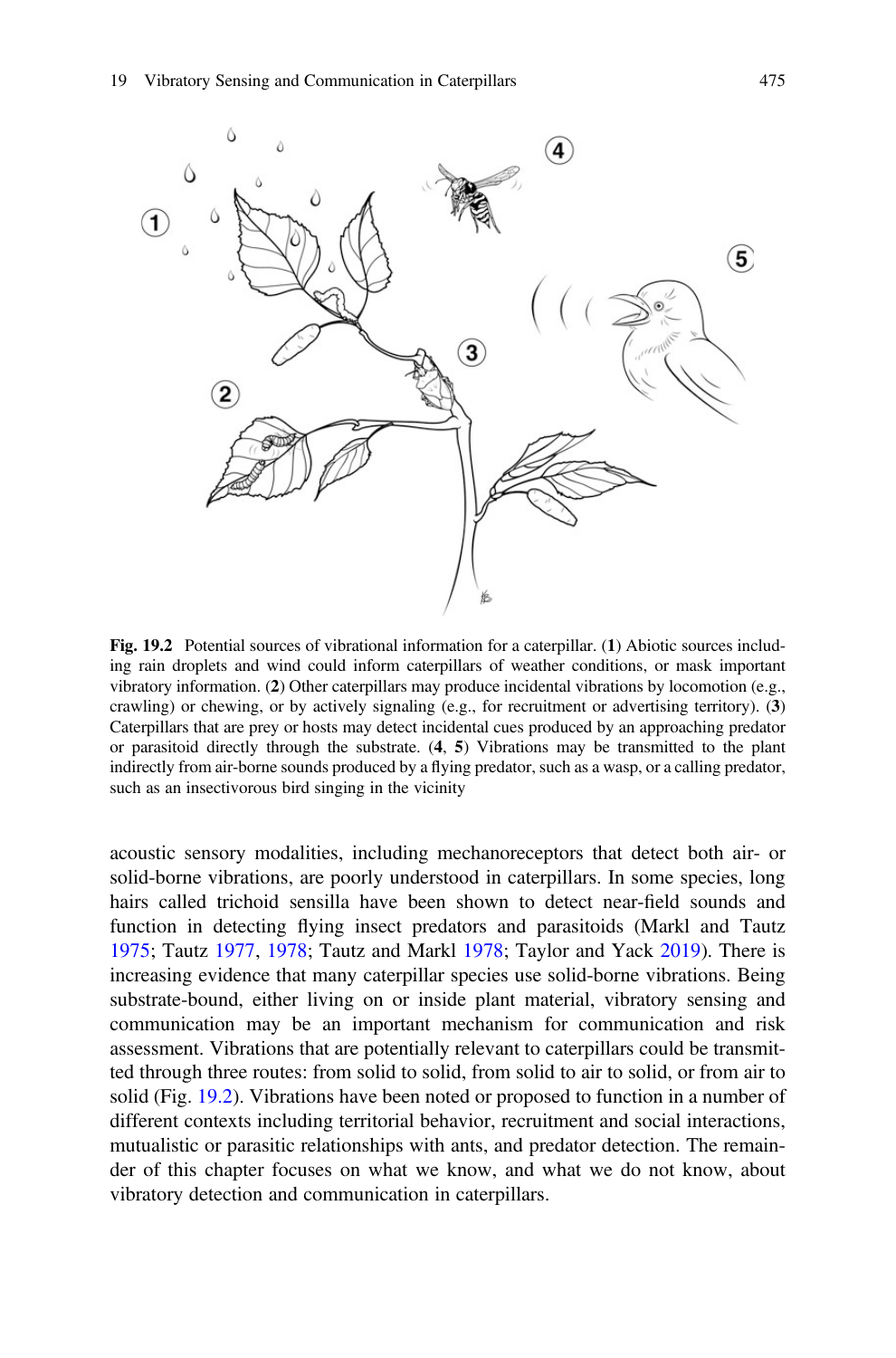<span id="page-11-0"></span>

Fig. 19.2 Potential sources of vibrational information for a caterpillar. (1) Abiotic sources including rain droplets and wind could inform caterpillars of weather conditions, or mask important vibratory information. (2) Other caterpillars may produce incidental vibrations by locomotion (e.g., crawling) or chewing, or by actively signaling (e.g., for recruitment or advertising territory). (3) Caterpillars that are prey or hosts may detect incidental cues produced by an approaching predator or parasitoid directly through the substrate.  $(4, 5)$  Vibrations may be transmitted to the plant indirectly from air-borne sounds produced by a flying predator, such as a wasp, or a calling predator, such as an insectivorous bird singing in the vicinity

acoustic sensory modalities, including mechanoreceptors that detect both air- or solid-borne vibrations, are poorly understood in caterpillars. In some species, long hairs called trichoid sensilla have been shown to detect near-field sounds and function in detecting flying insect predators and parasitoids (Markl and Tautz [1975;](#page-24-0) Tautz [1977](#page-26-0), [1978;](#page-26-0) Tautz and Markl [1978](#page-26-0); Taylor and Yack [2019\)](#page-26-0). There is increasing evidence that many caterpillar species use solid-borne vibrations. Being substrate-bound, either living on or inside plant material, vibratory sensing and communication may be an important mechanism for communication and risk assessment. Vibrations that are potentially relevant to caterpillars could be transmitted through three routes: from solid to solid, from solid to air to solid, or from air to solid (Fig. 19.2). Vibrations have been noted or proposed to function in a number of different contexts including territorial behavior, recruitment and social interactions, mutualistic or parasitic relationships with ants, and predator detection. The remainder of this chapter focuses on what we know, and what we do not know, about vibratory detection and communication in caterpillars.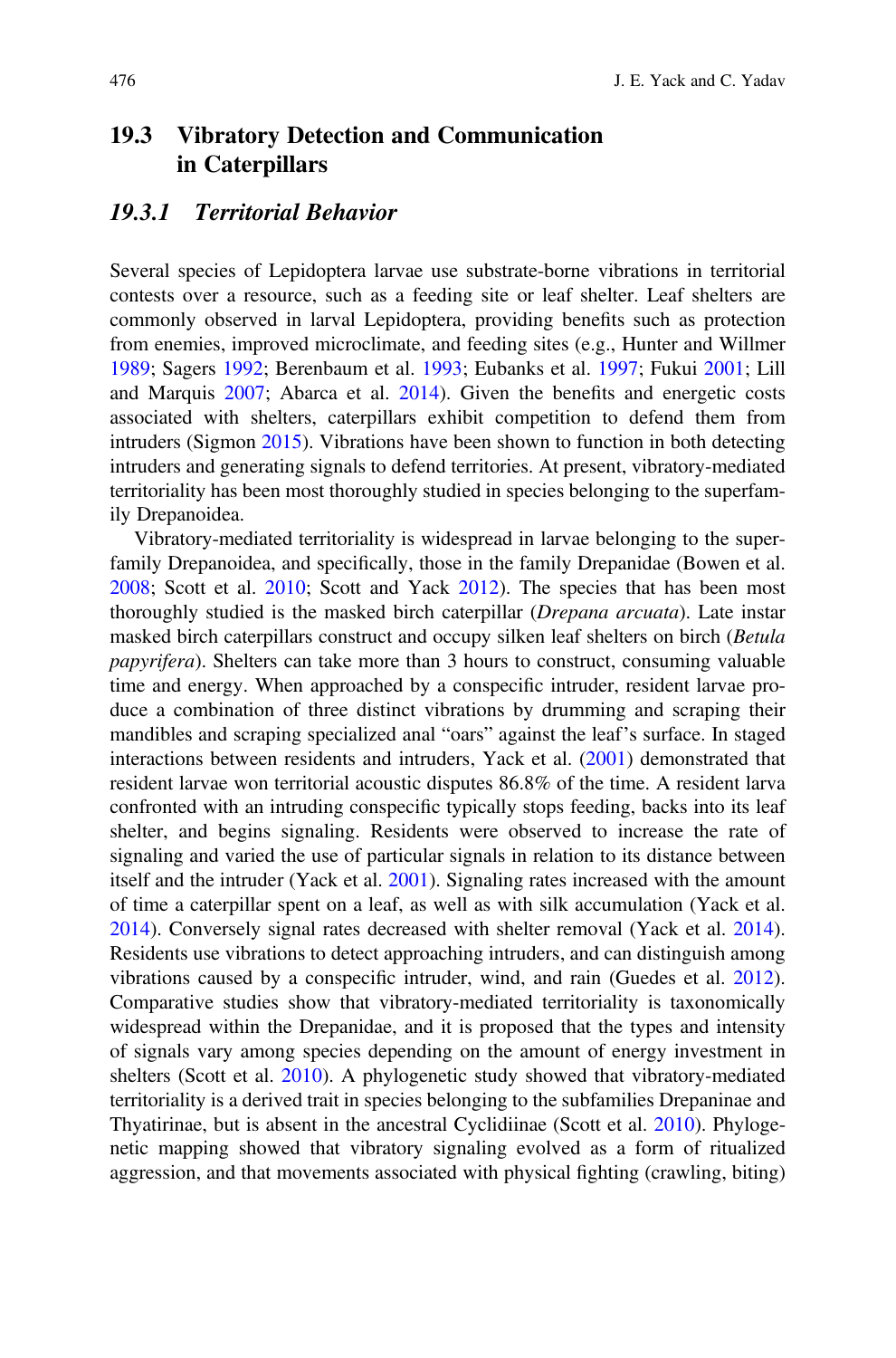#### 19.3 Vibratory Detection and Communication in Caterpillars

#### 19.3.1 Territorial Behavior

Several species of Lepidoptera larvae use substrate-borne vibrations in territorial contests over a resource, such as a feeding site or leaf shelter. Leaf shelters are commonly observed in larval Lepidoptera, providing benefits such as protection from enemies, improved microclimate, and feeding sites (e.g., Hunter and Willmer [1989;](#page-24-0) Sagers [1992](#page-25-0); Berenbaum et al. [1993;](#page-21-0) Eubanks et al. [1997](#page-22-0); Fukui [2001](#page-23-0); Lill and Marquis [2007](#page-24-0); Abarca et al. [2014\)](#page-21-0). Given the benefits and energetic costs associated with shelters, caterpillars exhibit competition to defend them from intruders (Sigmon [2015](#page-26-0)). Vibrations have been shown to function in both detecting intruders and generating signals to defend territories. At present, vibratory-mediated territoriality has been most thoroughly studied in species belonging to the superfamily Drepanoidea.

Vibratory-mediated territoriality is widespread in larvae belonging to the superfamily Drepanoidea, and specifically, those in the family Drepanidae (Bowen et al. [2008;](#page-21-0) Scott et al. [2010](#page-26-0); Scott and Yack [2012\)](#page-26-0). The species that has been most thoroughly studied is the masked birch caterpillar (Drepana arcuata). Late instar masked birch caterpillars construct and occupy silken leaf shelters on birch (Betula papyrifera). Shelters can take more than 3 hours to construct, consuming valuable time and energy. When approached by a conspecific intruder, resident larvae produce a combination of three distinct vibrations by drumming and scraping their mandibles and scraping specialized anal "oars" against the leaf's surface. In staged interactions between residents and intruders, Yack et al. ([2001\)](#page-26-0) demonstrated that resident larvae won territorial acoustic disputes 86.8% of the time. A resident larva confronted with an intruding conspecific typically stops feeding, backs into its leaf shelter, and begins signaling. Residents were observed to increase the rate of signaling and varied the use of particular signals in relation to its distance between itself and the intruder (Yack et al. [2001\)](#page-26-0). Signaling rates increased with the amount of time a caterpillar spent on a leaf, as well as with silk accumulation (Yack et al. [2014\)](#page-27-0). Conversely signal rates decreased with shelter removal (Yack et al. [2014\)](#page-27-0). Residents use vibrations to detect approaching intruders, and can distinguish among vibrations caused by a conspecific intruder, wind, and rain (Guedes et al. [2012\)](#page-23-0). Comparative studies show that vibratory-mediated territoriality is taxonomically widespread within the Drepanidae, and it is proposed that the types and intensity of signals vary among species depending on the amount of energy investment in shelters (Scott et al. [2010](#page-26-0)). A phylogenetic study showed that vibratory-mediated territoriality is a derived trait in species belonging to the subfamilies Drepaninae and Thyatirinae, but is absent in the ancestral Cyclidiinae (Scott et al. [2010\)](#page-26-0). Phylogenetic mapping showed that vibratory signaling evolved as a form of ritualized aggression, and that movements associated with physical fighting (crawling, biting)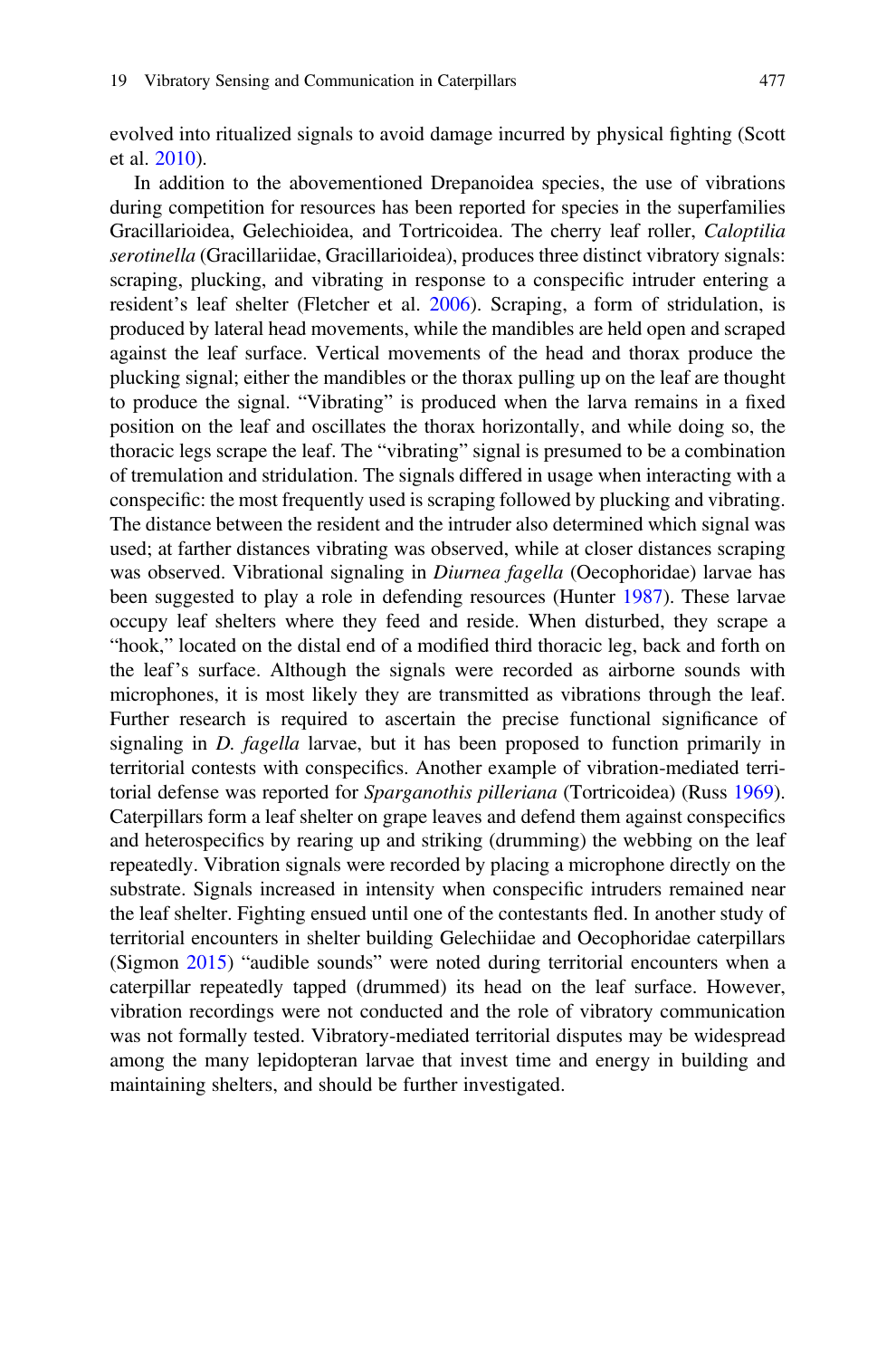evolved into ritualized signals to avoid damage incurred by physical fighting (Scott et al. [2010](#page-26-0)).

In addition to the abovementioned Drepanoidea species, the use of vibrations during competition for resources has been reported for species in the superfamilies Gracillarioidea, Gelechioidea, and Tortricoidea. The cherry leaf roller, Caloptilia serotinella (Gracillariidae, Gracillarioidea), produces three distinct vibratory signals: scraping, plucking, and vibrating in response to a conspecific intruder entering a resident's leaf shelter (Fletcher et al. [2006\)](#page-23-0). Scraping, a form of stridulation, is produced by lateral head movements, while the mandibles are held open and scraped against the leaf surface. Vertical movements of the head and thorax produce the plucking signal; either the mandibles or the thorax pulling up on the leaf are thought to produce the signal. "Vibrating" is produced when the larva remains in a fixed position on the leaf and oscillates the thorax horizontally, and while doing so, the thoracic legs scrape the leaf. The "vibrating" signal is presumed to be a combination of tremulation and stridulation. The signals differed in usage when interacting with a conspecific: the most frequently used is scraping followed by plucking and vibrating. The distance between the resident and the intruder also determined which signal was used; at farther distances vibrating was observed, while at closer distances scraping was observed. Vibrational signaling in *Diurnea fagella* (Oecophoridae) larvae has been suggested to play a role in defending resources (Hunter [1987](#page-24-0)). These larvae occupy leaf shelters where they feed and reside. When disturbed, they scrape a "hook," located on the distal end of a modified third thoracic leg, back and forth on the leaf's surface. Although the signals were recorded as airborne sounds with microphones, it is most likely they are transmitted as vibrations through the leaf. Further research is required to ascertain the precise functional significance of signaling in D. fagella larvae, but it has been proposed to function primarily in territorial contests with conspecifics. Another example of vibration-mediated territorial defense was reported for Sparganothis pilleriana (Tortricoidea) (Russ [1969\)](#page-25-0). Caterpillars form a leaf shelter on grape leaves and defend them against conspecifics and heterospecifics by rearing up and striking (drumming) the webbing on the leaf repeatedly. Vibration signals were recorded by placing a microphone directly on the substrate. Signals increased in intensity when conspecific intruders remained near the leaf shelter. Fighting ensued until one of the contestants fled. In another study of territorial encounters in shelter building Gelechiidae and Oecophoridae caterpillars (Sigmon [2015\)](#page-26-0) "audible sounds" were noted during territorial encounters when a caterpillar repeatedly tapped (drummed) its head on the leaf surface. However, vibration recordings were not conducted and the role of vibratory communication was not formally tested. Vibratory-mediated territorial disputes may be widespread among the many lepidopteran larvae that invest time and energy in building and maintaining shelters, and should be further investigated.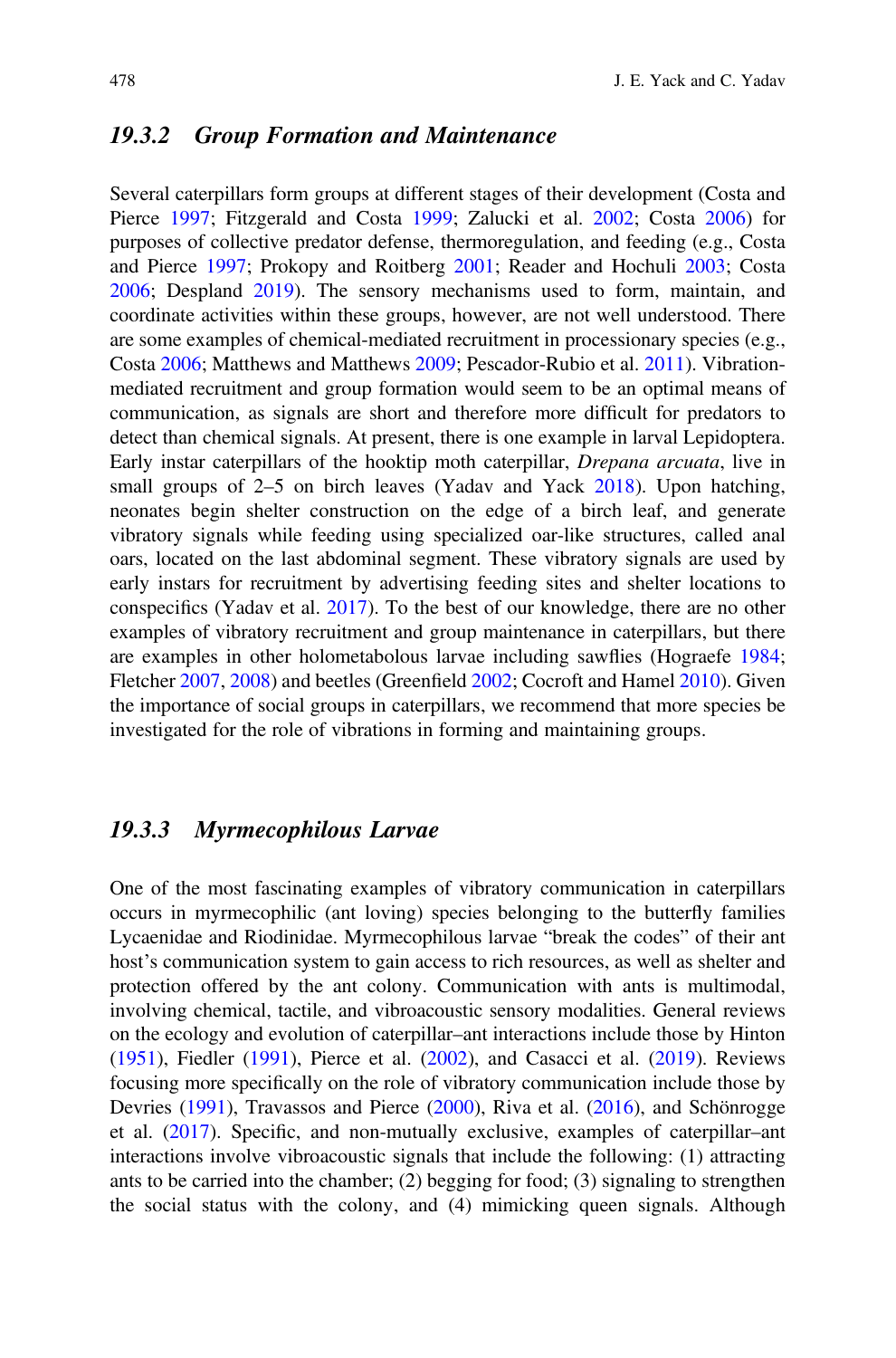#### 19.3.2 Group Formation and Maintenance

Several caterpillars form groups at different stages of their development (Costa and Pierce [1997](#page-22-0); Fitzgerald and Costa [1999](#page-22-0); Zalucki et al. [2002](#page-27-0); Costa [2006](#page-22-0)) for purposes of collective predator defense, thermoregulation, and feeding (e.g., Costa and Pierce [1997;](#page-22-0) Prokopy and Roitberg [2001;](#page-25-0) Reader and Hochuli [2003](#page-25-0); Costa [2006;](#page-22-0) Despland [2019](#page-22-0)). The sensory mechanisms used to form, maintain, and coordinate activities within these groups, however, are not well understood. There are some examples of chemical-mediated recruitment in processionary species (e.g., Costa [2006;](#page-22-0) Matthews and Matthews [2009;](#page-24-0) Pescador-Rubio et al. [2011](#page-25-0)). Vibrationmediated recruitment and group formation would seem to be an optimal means of communication, as signals are short and therefore more difficult for predators to detect than chemical signals. At present, there is one example in larval Lepidoptera. Early instar caterpillars of the hooktip moth caterpillar, Drepana arcuata, live in small groups of 2–5 on birch leaves (Yadav and Yack [2018\)](#page-27-0). Upon hatching, neonates begin shelter construction on the edge of a birch leaf, and generate vibratory signals while feeding using specialized oar-like structures, called anal oars, located on the last abdominal segment. These vibratory signals are used by early instars for recruitment by advertising feeding sites and shelter locations to conspecifics (Yadav et al. [2017](#page-27-0)). To the best of our knowledge, there are no other examples of vibratory recruitment and group maintenance in caterpillars, but there are examples in other holometabolous larvae including sawflies (Hograefe [1984;](#page-24-0) Fletcher [2007](#page-22-0), [2008\)](#page-23-0) and beetles (Greenfield [2002](#page-23-0); Cocroft and Hamel [2010](#page-21-0)). Given the importance of social groups in caterpillars, we recommend that more species be investigated for the role of vibrations in forming and maintaining groups.

#### 19.3.3 Myrmecophilous Larvae

One of the most fascinating examples of vibratory communication in caterpillars occurs in myrmecophilic (ant loving) species belonging to the butterfly families Lycaenidae and Riodinidae. Myrmecophilous larvae "break the codes" of their ant host's communication system to gain access to rich resources, as well as shelter and protection offered by the ant colony. Communication with ants is multimodal, involving chemical, tactile, and vibroacoustic sensory modalities. General reviews on the ecology and evolution of caterpillar–ant interactions include those by Hinton [\(1951](#page-23-0)), Fiedler [\(1991](#page-22-0)), Pierce et al. ([2002](#page-25-0)), and Casacci et al. [\(2019](#page-21-0)). Reviews focusing more specifically on the role of vibratory communication include those by Devries [\(1991](#page-22-0)), Travassos and Pierce ([2000\)](#page-26-0), Riva et al. ([2016\)](#page-25-0), and Schönrogge et al. [\(2017](#page-25-0)). Specific, and non-mutually exclusive, examples of caterpillar–ant interactions involve vibroacoustic signals that include the following: (1) attracting ants to be carried into the chamber; (2) begging for food; (3) signaling to strengthen the social status with the colony, and (4) mimicking queen signals. Although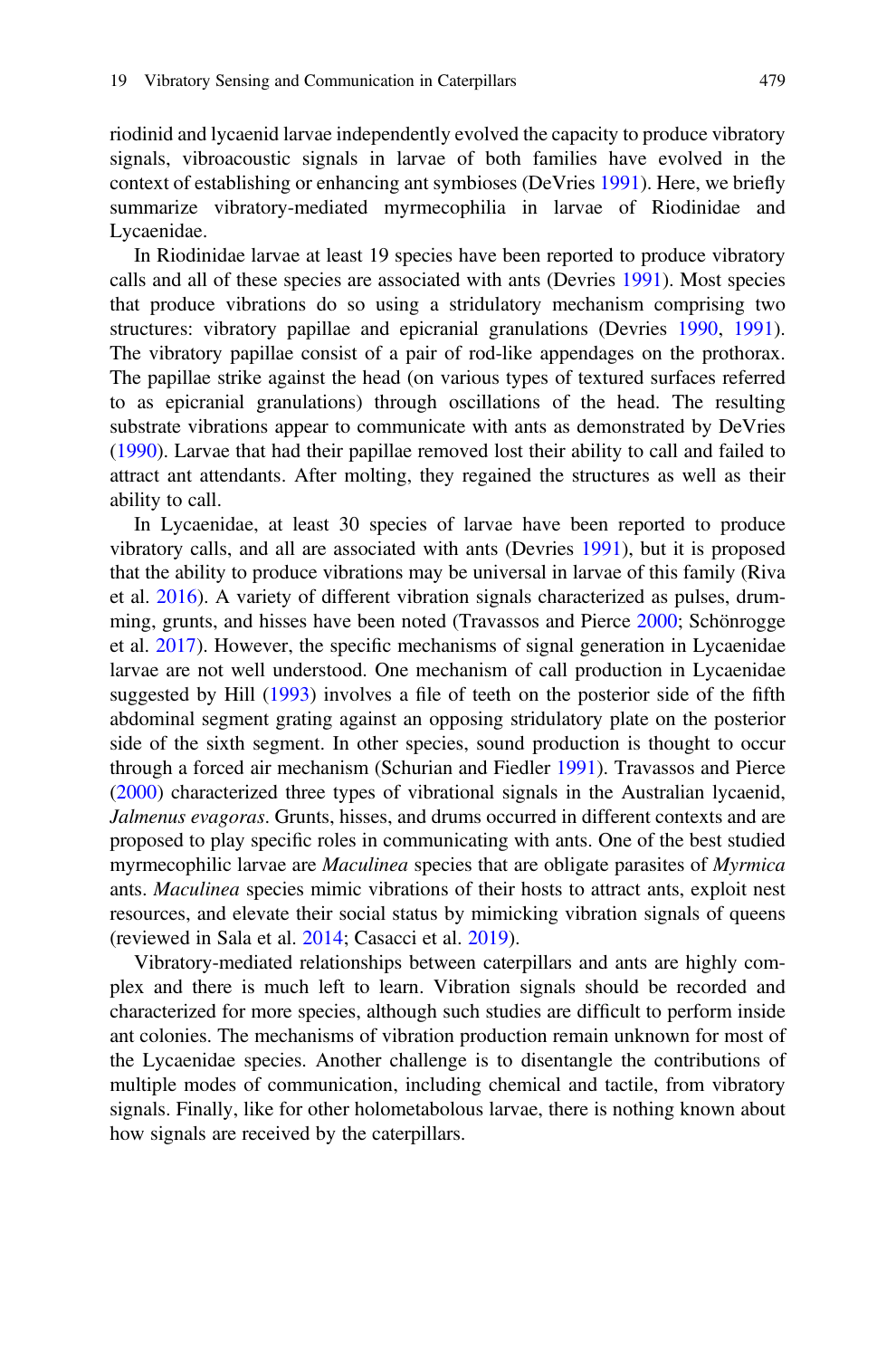riodinid and lycaenid larvae independently evolved the capacity to produce vibratory signals, vibroacoustic signals in larvae of both families have evolved in the context of establishing or enhancing ant symbioses (DeVries [1991](#page-22-0)). Here, we briefly summarize vibratory-mediated myrmecophilia in larvae of Riodinidae and Lycaenidae.

In Riodinidae larvae at least 19 species have been reported to produce vibratory calls and all of these species are associated with ants (Devries [1991](#page-22-0)). Most species that produce vibrations do so using a stridulatory mechanism comprising two structures: vibratory papillae and epicranial granulations (Devries [1990](#page-22-0), [1991\)](#page-22-0). The vibratory papillae consist of a pair of rod-like appendages on the prothorax. The papillae strike against the head (on various types of textured surfaces referred to as epicranial granulations) through oscillations of the head. The resulting substrate vibrations appear to communicate with ants as demonstrated by DeVries [\(1990](#page-22-0)). Larvae that had their papillae removed lost their ability to call and failed to attract ant attendants. After molting, they regained the structures as well as their ability to call.

In Lycaenidae, at least 30 species of larvae have been reported to produce vibratory calls, and all are associated with ants (Devries [1991](#page-22-0)), but it is proposed that the ability to produce vibrations may be universal in larvae of this family (Riva et al. [2016\)](#page-25-0). A variety of different vibration signals characterized as pulses, drumming, grunts, and hisses have been noted (Travassos and Pierce [2000](#page-26-0); Schönrogge et al. [2017](#page-25-0)). However, the specific mechanisms of signal generation in Lycaenidae larvae are not well understood. One mechanism of call production in Lycaenidae suggested by Hill [\(1993](#page-23-0)) involves a file of teeth on the posterior side of the fifth abdominal segment grating against an opposing stridulatory plate on the posterior side of the sixth segment. In other species, sound production is thought to occur through a forced air mechanism (Schurian and Fiedler [1991\)](#page-25-0). Travassos and Pierce [\(2000](#page-26-0)) characterized three types of vibrational signals in the Australian lycaenid, Jalmenus evagoras. Grunts, hisses, and drums occurred in different contexts and are proposed to play specific roles in communicating with ants. One of the best studied myrmecophilic larvae are *Maculinea* species that are obligate parasites of *Myrmica* ants. Maculinea species mimic vibrations of their hosts to attract ants, exploit nest resources, and elevate their social status by mimicking vibration signals of queens (reviewed in Sala et al. [2014](#page-25-0); Casacci et al. [2019\)](#page-21-0).

Vibratory-mediated relationships between caterpillars and ants are highly complex and there is much left to learn. Vibration signals should be recorded and characterized for more species, although such studies are difficult to perform inside ant colonies. The mechanisms of vibration production remain unknown for most of the Lycaenidae species. Another challenge is to disentangle the contributions of multiple modes of communication, including chemical and tactile, from vibratory signals. Finally, like for other holometabolous larvae, there is nothing known about how signals are received by the caterpillars.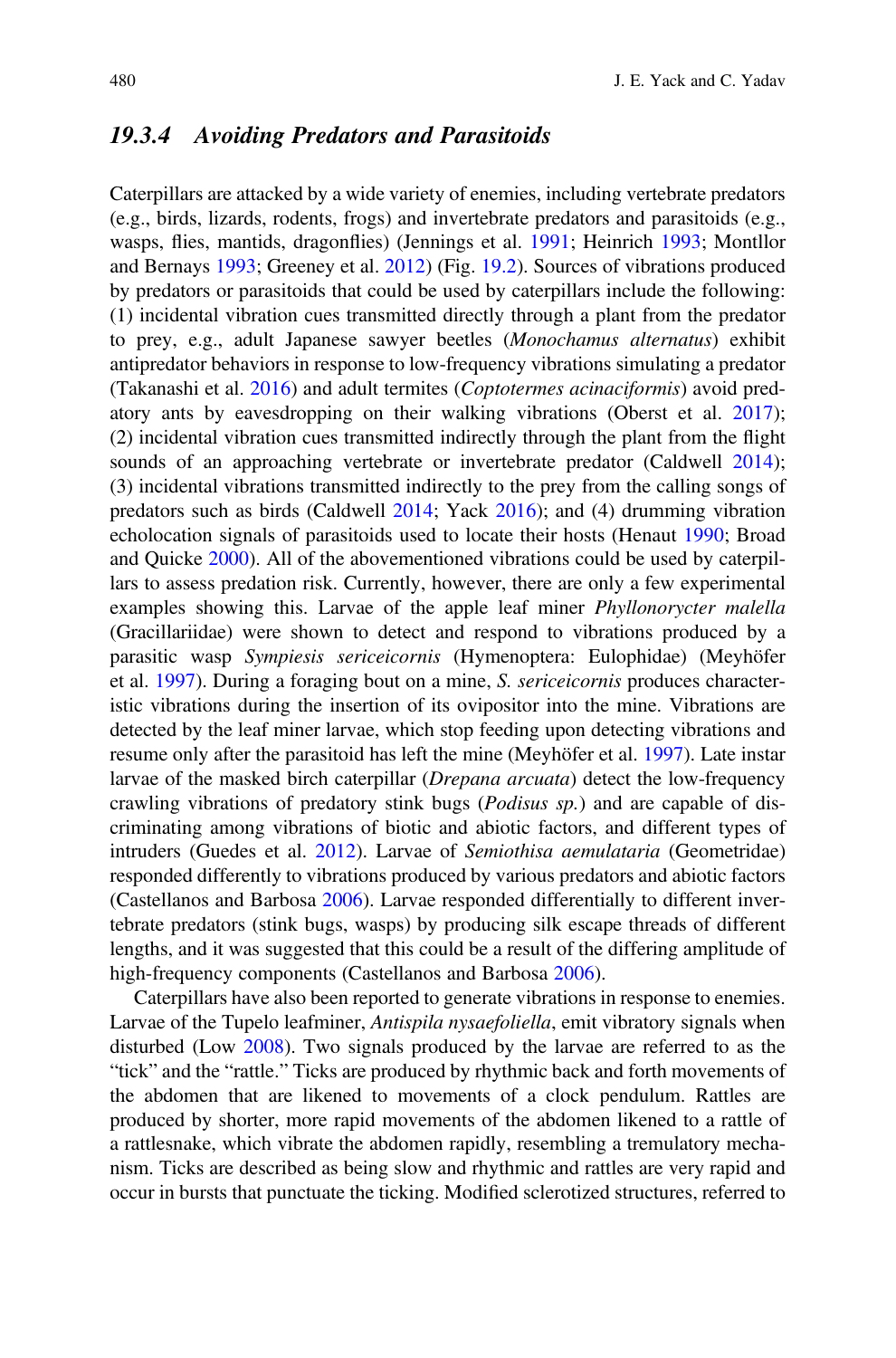#### <span id="page-16-0"></span>19.3.4 Avoiding Predators and Parasitoids

Caterpillars are attacked by a wide variety of enemies, including vertebrate predators (e.g., birds, lizards, rodents, frogs) and invertebrate predators and parasitoids (e.g., wasps, flies, mantids, dragonflies) (Jennings et al. [1991;](#page-24-0) Heinrich [1993](#page-23-0); Montllor and Bernays [1993;](#page-24-0) Greeney et al. [2012\)](#page-23-0) (Fig. [19.2\)](#page-11-0). Sources of vibrations produced by predators or parasitoids that could be used by caterpillars include the following: (1) incidental vibration cues transmitted directly through a plant from the predator to prey, e.g., adult Japanese sawyer beetles (Monochamus alternatus) exhibit antipredator behaviors in response to low-frequency vibrations simulating a predator (Takanashi et al. [2016\)](#page-26-0) and adult termites (Coptotermes acinaciformis) avoid predatory ants by eavesdropping on their walking vibrations (Oberst et al. [2017\)](#page-24-0); (2) incidental vibration cues transmitted indirectly through the plant from the flight sounds of an approaching vertebrate or invertebrate predator (Caldwell [2014\)](#page-21-0); (3) incidental vibrations transmitted indirectly to the prey from the calling songs of predators such as birds (Caldwell [2014;](#page-21-0) Yack [2016](#page-26-0)); and (4) drumming vibration echolocation signals of parasitoids used to locate their hosts (Henaut [1990](#page-23-0); Broad and Quicke [2000](#page-21-0)). All of the abovementioned vibrations could be used by caterpillars to assess predation risk. Currently, however, there are only a few experimental examples showing this. Larvae of the apple leaf miner *Phyllonorycter malella* (Gracillariidae) were shown to detect and respond to vibrations produced by a parasitic wasp Sympiesis sericeicornis (Hymenoptera: Eulophidae) (Meyhöfer et al. [1997\)](#page-24-0). During a foraging bout on a mine, S. sericeicornis produces characteristic vibrations during the insertion of its ovipositor into the mine. Vibrations are detected by the leaf miner larvae, which stop feeding upon detecting vibrations and resume only after the parasitoid has left the mine (Meyhöfer et al. [1997\)](#page-24-0). Late instar larvae of the masked birch caterpillar (Drepana arcuata) detect the low-frequency crawling vibrations of predatory stink bugs (Podisus sp.) and are capable of discriminating among vibrations of biotic and abiotic factors, and different types of intruders (Guedes et al. [2012\)](#page-23-0). Larvae of Semiothisa aemulataria (Geometridae) responded differently to vibrations produced by various predators and abiotic factors (Castellanos and Barbosa [2006](#page-21-0)). Larvae responded differentially to different invertebrate predators (stink bugs, wasps) by producing silk escape threads of different lengths, and it was suggested that this could be a result of the differing amplitude of high-frequency components (Castellanos and Barbosa [2006\)](#page-21-0).

Caterpillars have also been reported to generate vibrations in response to enemies. Larvae of the Tupelo leafminer, Antispila nysaefoliella, emit vibratory signals when disturbed (Low [2008](#page-24-0)). Two signals produced by the larvae are referred to as the "tick" and the "rattle." Ticks are produced by rhythmic back and forth movements of the abdomen that are likened to movements of a clock pendulum. Rattles are produced by shorter, more rapid movements of the abdomen likened to a rattle of a rattlesnake, which vibrate the abdomen rapidly, resembling a tremulatory mechanism. Ticks are described as being slow and rhythmic and rattles are very rapid and occur in bursts that punctuate the ticking. Modified sclerotized structures, referred to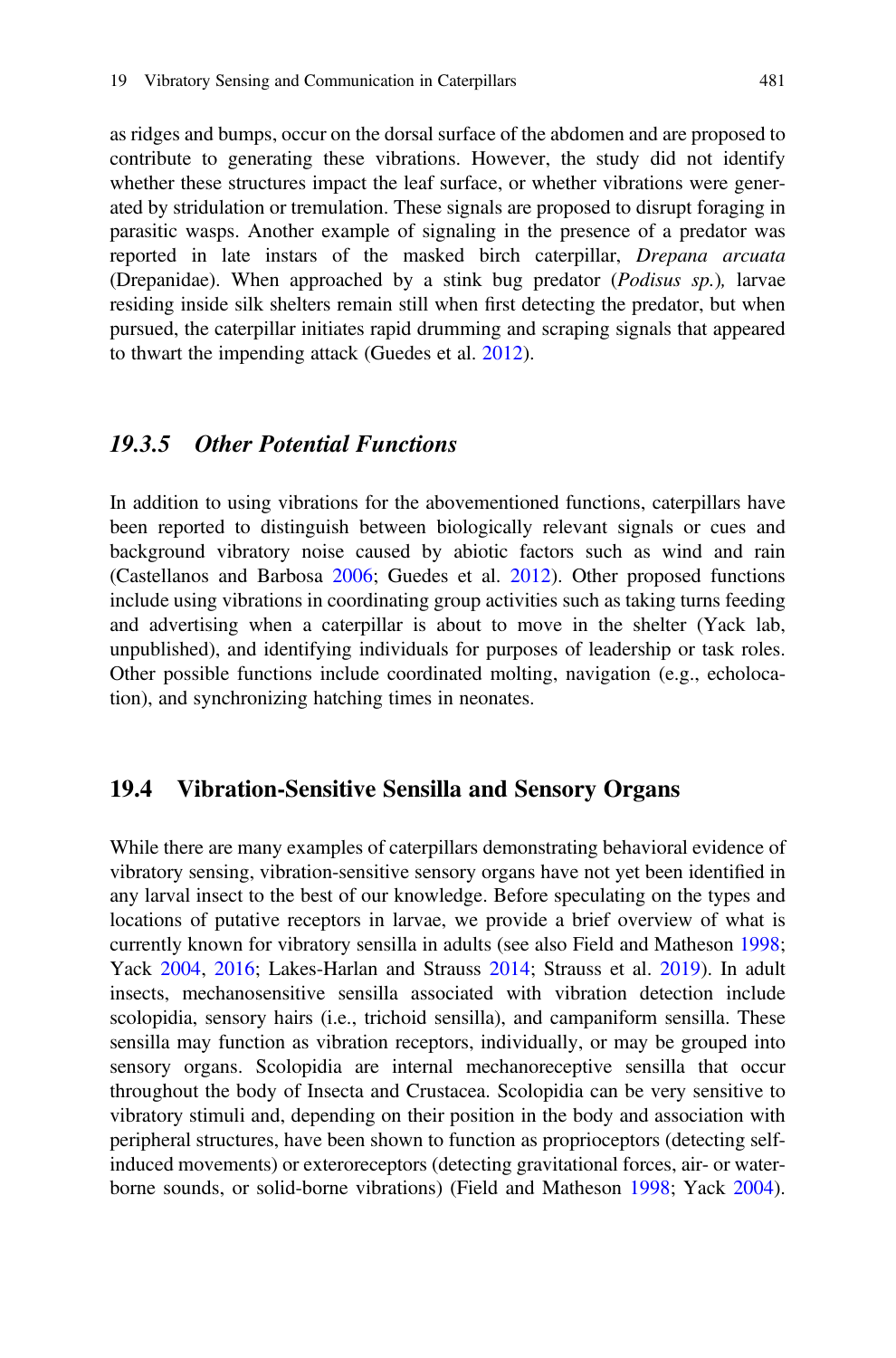as ridges and bumps, occur on the dorsal surface of the abdomen and are proposed to contribute to generating these vibrations. However, the study did not identify whether these structures impact the leaf surface, or whether vibrations were generated by stridulation or tremulation. These signals are proposed to disrupt foraging in parasitic wasps. Another example of signaling in the presence of a predator was reported in late instars of the masked birch caterpillar, Drepana arcuata (Drepanidae). When approached by a stink bug predator (Podisus sp.), larvae residing inside silk shelters remain still when first detecting the predator, but when pursued, the caterpillar initiates rapid drumming and scraping signals that appeared to thwart the impending attack (Guedes et al. [2012\)](#page-23-0).

#### 19.3.5 Other Potential Functions

In addition to using vibrations for the abovementioned functions, caterpillars have been reported to distinguish between biologically relevant signals or cues and background vibratory noise caused by abiotic factors such as wind and rain (Castellanos and Barbosa [2006](#page-21-0); Guedes et al. [2012](#page-23-0)). Other proposed functions include using vibrations in coordinating group activities such as taking turns feeding and advertising when a caterpillar is about to move in the shelter (Yack lab, unpublished), and identifying individuals for purposes of leadership or task roles. Other possible functions include coordinated molting, navigation (e.g., echolocation), and synchronizing hatching times in neonates.

#### 19.4 Vibration-Sensitive Sensilla and Sensory Organs

While there are many examples of caterpillars demonstrating behavioral evidence of vibratory sensing, vibration-sensitive sensory organs have not yet been identified in any larval insect to the best of our knowledge. Before speculating on the types and locations of putative receptors in larvae, we provide a brief overview of what is currently known for vibratory sensilla in adults (see also Field and Matheson [1998;](#page-22-0) Yack [2004,](#page-26-0) [2016](#page-26-0); Lakes-Harlan and Strauss [2014](#page-24-0); Strauss et al. [2019\)](#page-26-0). In adult insects, mechanosensitive sensilla associated with vibration detection include scolopidia, sensory hairs (i.e., trichoid sensilla), and campaniform sensilla. These sensilla may function as vibration receptors, individually, or may be grouped into sensory organs. Scolopidia are internal mechanoreceptive sensilla that occur throughout the body of Insecta and Crustacea. Scolopidia can be very sensitive to vibratory stimuli and, depending on their position in the body and association with peripheral structures, have been shown to function as proprioceptors (detecting selfinduced movements) or exteroreceptors (detecting gravitational forces, air- or waterborne sounds, or solid-borne vibrations) (Field and Matheson [1998;](#page-22-0) Yack [2004\)](#page-26-0).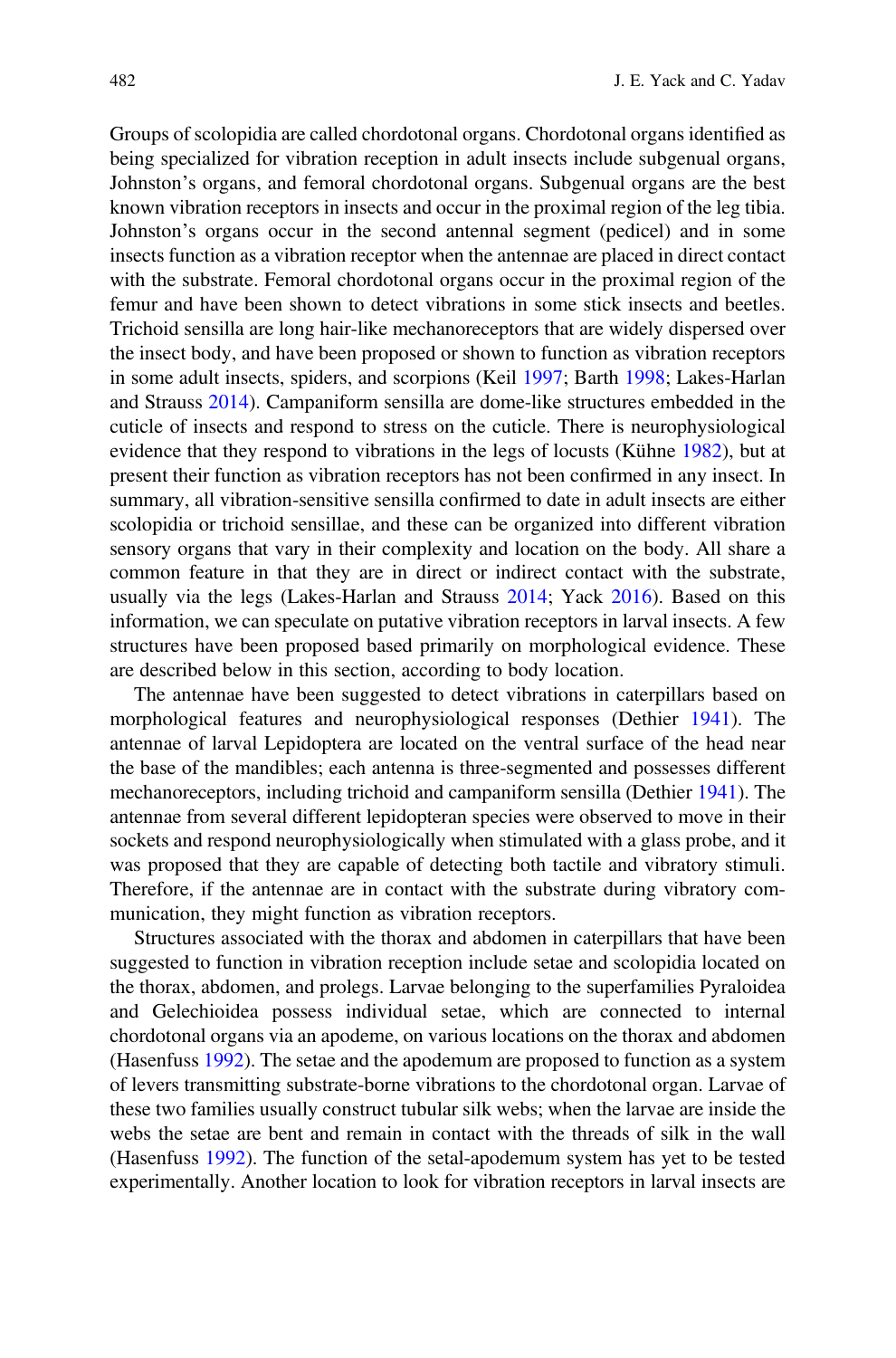Groups of scolopidia are called chordotonal organs. Chordotonal organs identified as being specialized for vibration reception in adult insects include subgenual organs, Johnston's organs, and femoral chordotonal organs. Subgenual organs are the best known vibration receptors in insects and occur in the proximal region of the leg tibia. Johnston's organs occur in the second antennal segment (pedicel) and in some insects function as a vibration receptor when the antennae are placed in direct contact with the substrate. Femoral chordotonal organs occur in the proximal region of the femur and have been shown to detect vibrations in some stick insects and beetles. Trichoid sensilla are long hair-like mechanoreceptors that are widely dispersed over the insect body, and have been proposed or shown to function as vibration receptors in some adult insects, spiders, and scorpions (Keil [1997](#page-24-0); Barth [1998](#page-21-0); Lakes-Harlan and Strauss [2014](#page-24-0)). Campaniform sensilla are dome-like structures embedded in the cuticle of insects and respond to stress on the cuticle. There is neurophysiological evidence that they respond to vibrations in the legs of locusts (Kühne [1982](#page-24-0)), but at present their function as vibration receptors has not been confirmed in any insect. In summary, all vibration-sensitive sensilla confirmed to date in adult insects are either scolopidia or trichoid sensillae, and these can be organized into different vibration sensory organs that vary in their complexity and location on the body. All share a common feature in that they are in direct or indirect contact with the substrate, usually via the legs (Lakes-Harlan and Strauss [2014;](#page-24-0) Yack [2016\)](#page-26-0). Based on this information, we can speculate on putative vibration receptors in larval insects. A few structures have been proposed based primarily on morphological evidence. These are described below in this section, according to body location.

The antennae have been suggested to detect vibrations in caterpillars based on morphological features and neurophysiological responses (Dethier [1941\)](#page-22-0). The antennae of larval Lepidoptera are located on the ventral surface of the head near the base of the mandibles; each antenna is three-segmented and possesses different mechanoreceptors, including trichoid and campaniform sensilla (Dethier [1941](#page-22-0)). The antennae from several different lepidopteran species were observed to move in their sockets and respond neurophysiologically when stimulated with a glass probe, and it was proposed that they are capable of detecting both tactile and vibratory stimuli. Therefore, if the antennae are in contact with the substrate during vibratory communication, they might function as vibration receptors.

Structures associated with the thorax and abdomen in caterpillars that have been suggested to function in vibration reception include setae and scolopidia located on the thorax, abdomen, and prolegs. Larvae belonging to the superfamilies Pyraloidea and Gelechioidea possess individual setae, which are connected to internal chordotonal organs via an apodeme, on various locations on the thorax and abdomen (Hasenfuss [1992\)](#page-23-0). The setae and the apodemum are proposed to function as a system of levers transmitting substrate-borne vibrations to the chordotonal organ. Larvae of these two families usually construct tubular silk webs; when the larvae are inside the webs the setae are bent and remain in contact with the threads of silk in the wall (Hasenfuss [1992\)](#page-23-0). The function of the setal-apodemum system has yet to be tested experimentally. Another location to look for vibration receptors in larval insects are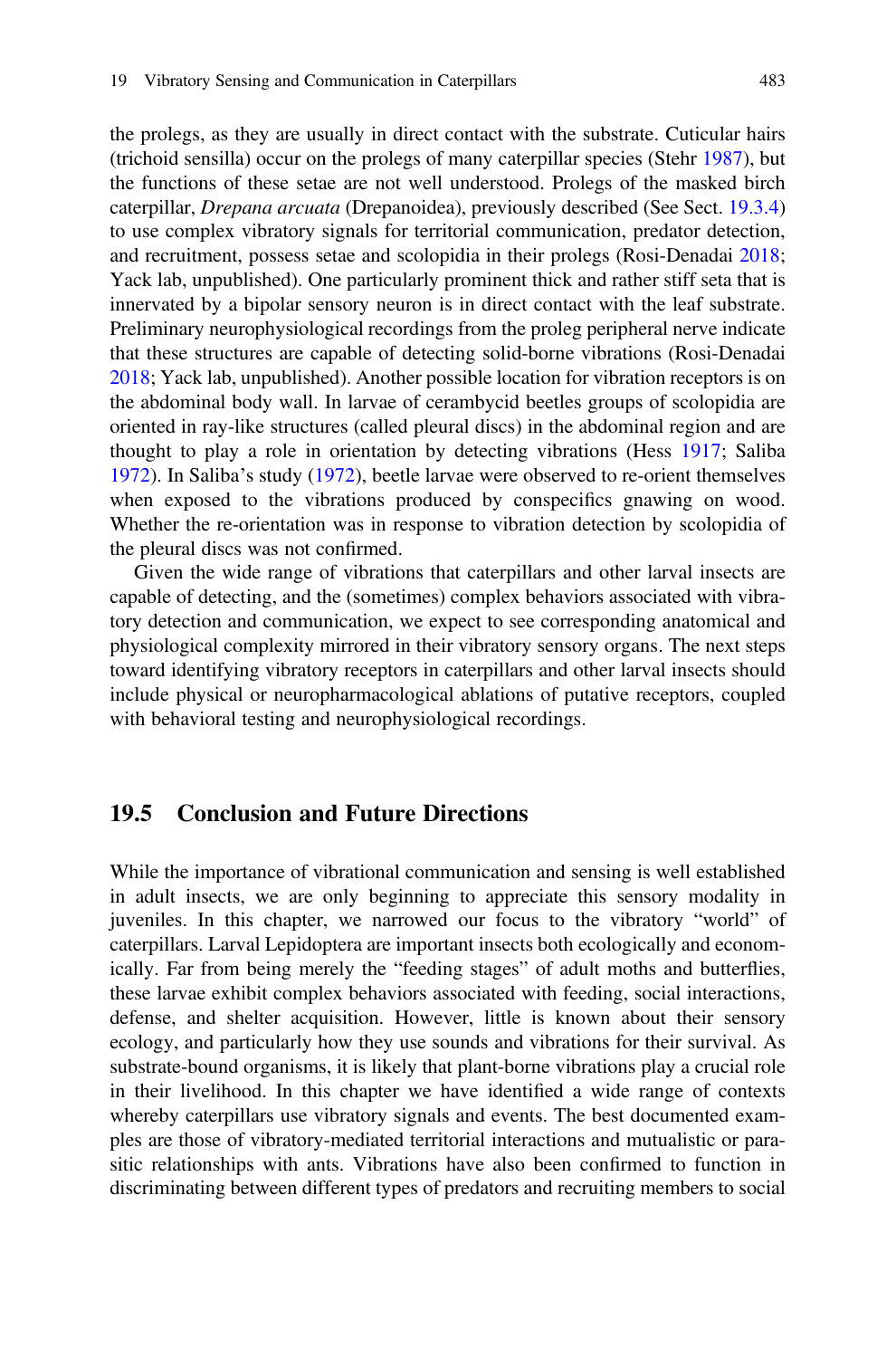the prolegs, as they are usually in direct contact with the substrate. Cuticular hairs (trichoid sensilla) occur on the prolegs of many caterpillar species (Stehr [1987\)](#page-26-0), but the functions of these setae are not well understood. Prolegs of the masked birch caterpillar, Drepana arcuata (Drepanoidea), previously described (See Sect. [19.3.4](#page-16-0)) to use complex vibratory signals for territorial communication, predator detection, and recruitment, possess setae and scolopidia in their prolegs (Rosi-Denadai [2018;](#page-25-0) Yack lab, unpublished). One particularly prominent thick and rather stiff seta that is innervated by a bipolar sensory neuron is in direct contact with the leaf substrate. Preliminary neurophysiological recordings from the proleg peripheral nerve indicate that these structures are capable of detecting solid-borne vibrations (Rosi-Denadai [2018;](#page-25-0) Yack lab, unpublished). Another possible location for vibration receptors is on the abdominal body wall. In larvae of cerambycid beetles groups of scolopidia are oriented in ray-like structures (called pleural discs) in the abdominal region and are thought to play a role in orientation by detecting vibrations (Hess [1917;](#page-23-0) Saliba [1972\)](#page-25-0). In Saliba's study [\(1972](#page-25-0)), beetle larvae were observed to re-orient themselves when exposed to the vibrations produced by conspecifics gnawing on wood. Whether the re-orientation was in response to vibration detection by scolopidia of the pleural discs was not confirmed.

Given the wide range of vibrations that caterpillars and other larval insects are capable of detecting, and the (sometimes) complex behaviors associated with vibratory detection and communication, we expect to see corresponding anatomical and physiological complexity mirrored in their vibratory sensory organs. The next steps toward identifying vibratory receptors in caterpillars and other larval insects should include physical or neuropharmacological ablations of putative receptors, coupled with behavioral testing and neurophysiological recordings.

#### 19.5 Conclusion and Future Directions

While the importance of vibrational communication and sensing is well established in adult insects, we are only beginning to appreciate this sensory modality in juveniles. In this chapter, we narrowed our focus to the vibratory "world" of caterpillars. Larval Lepidoptera are important insects both ecologically and economically. Far from being merely the "feeding stages" of adult moths and butterflies, these larvae exhibit complex behaviors associated with feeding, social interactions, defense, and shelter acquisition. However, little is known about their sensory ecology, and particularly how they use sounds and vibrations for their survival. As substrate-bound organisms, it is likely that plant-borne vibrations play a crucial role in their livelihood. In this chapter we have identified a wide range of contexts whereby caterpillars use vibratory signals and events. The best documented examples are those of vibratory-mediated territorial interactions and mutualistic or parasitic relationships with ants. Vibrations have also been confirmed to function in discriminating between different types of predators and recruiting members to social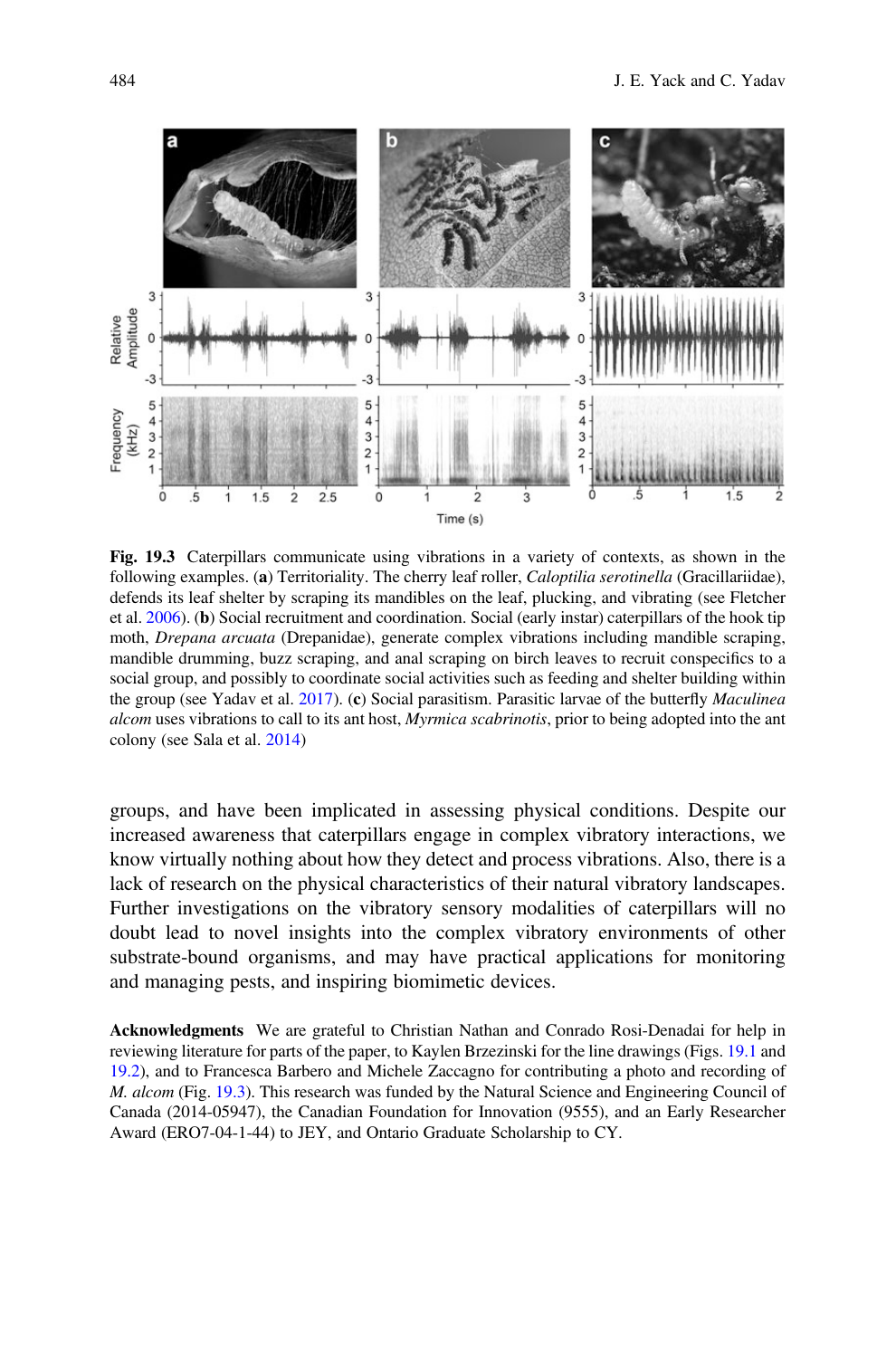

Fig. 19.3 Caterpillars communicate using vibrations in a variety of contexts, as shown in the following examples. (a) Territoriality. The cherry leaf roller, Caloptilia serotinella (Gracillariidae), defends its leaf shelter by scraping its mandibles on the leaf, plucking, and vibrating (see Fletcher et al. [2006\)](#page-23-0). (b) Social recruitment and coordination. Social (early instar) caterpillars of the hook tip moth, Drepana arcuata (Drepanidae), generate complex vibrations including mandible scraping, mandible drumming, buzz scraping, and anal scraping on birch leaves to recruit conspecifics to a social group, and possibly to coordinate social activities such as feeding and shelter building within the group (see Yadav et al. [2017\)](#page-27-0). (c) Social parasitism. Parasitic larvae of the butterfly *Maculinea* alcom uses vibrations to call to its ant host, *Myrmica scabrinotis*, prior to being adopted into the ant colony (see Sala et al. [2014\)](#page-25-0)

groups, and have been implicated in assessing physical conditions. Despite our increased awareness that caterpillars engage in complex vibratory interactions, we know virtually nothing about how they detect and process vibrations. Also, there is a lack of research on the physical characteristics of their natural vibratory landscapes. Further investigations on the vibratory sensory modalities of caterpillars will no doubt lead to novel insights into the complex vibratory environments of other substrate-bound organisms, and may have practical applications for monitoring and managing pests, and inspiring biomimetic devices.

Acknowledgments We are grateful to Christian Nathan and Conrado Rosi-Denadai for help in reviewing literature for parts of the paper, to Kaylen Brzezinski for the line drawings (Figs. [19.1](#page-9-0) and [19.2\)](#page-11-0), and to Francesca Barbero and Michele Zaccagno for contributing a photo and recording of M. alcom (Fig. 19.3). This research was funded by the Natural Science and Engineering Council of Canada (2014-05947), the Canadian Foundation for Innovation (9555), and an Early Researcher Award (ERO7-04-1-44) to JEY, and Ontario Graduate Scholarship to CY.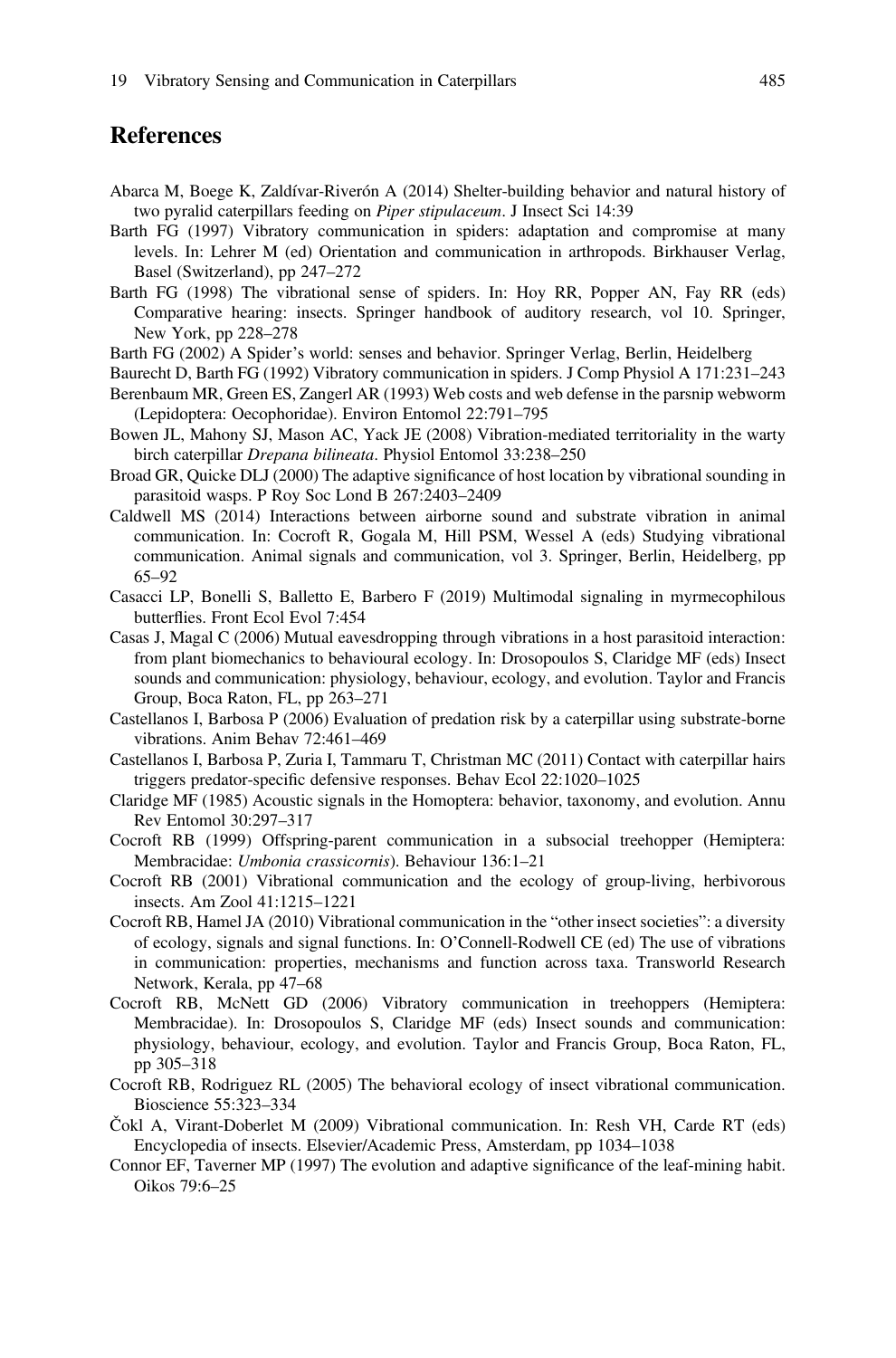#### <span id="page-21-0"></span>**References**

- Abarca M, Boege K, Zaldívar-Riverón A (2014) Shelter-building behavior and natural history of two pyralid caterpillars feeding on Piper stipulaceum. J Insect Sci 14:39
- Barth FG (1997) Vibratory communication in spiders: adaptation and compromise at many levels. In: Lehrer M (ed) Orientation and communication in arthropods. Birkhauser Verlag, Basel (Switzerland), pp 247–272
- Barth FG (1998) The vibrational sense of spiders. In: Hoy RR, Popper AN, Fay RR (eds) Comparative hearing: insects. Springer handbook of auditory research, vol 10. Springer, New York, pp 228–278
- Barth FG (2002) A Spider's world: senses and behavior. Springer Verlag, Berlin, Heidelberg
- Baurecht D, Barth FG (1992) Vibratory communication in spiders. J Comp Physiol A 171:231–243
- Berenbaum MR, Green ES, Zangerl AR (1993) Web costs and web defense in the parsnip webworm (Lepidoptera: Oecophoridae). Environ Entomol 22:791–795
- Bowen JL, Mahony SJ, Mason AC, Yack JE (2008) Vibration-mediated territoriality in the warty birch caterpillar Drepana bilineata. Physiol Entomol 33:238–250
- Broad GR, Quicke DLJ (2000) The adaptive significance of host location by vibrational sounding in parasitoid wasps. P Roy Soc Lond B 267:2403–2409
- Caldwell MS (2014) Interactions between airborne sound and substrate vibration in animal communication. In: Cocroft R, Gogala M, Hill PSM, Wessel A (eds) Studying vibrational communication. Animal signals and communication, vol 3. Springer, Berlin, Heidelberg, pp 65–92
- Casacci LP, Bonelli S, Balletto E, Barbero F (2019) Multimodal signaling in myrmecophilous butterflies. Front Ecol Evol 7:454
- Casas J, Magal C (2006) Mutual eavesdropping through vibrations in a host parasitoid interaction: from plant biomechanics to behavioural ecology. In: Drosopoulos S, Claridge MF (eds) Insect sounds and communication: physiology, behaviour, ecology, and evolution. Taylor and Francis Group, Boca Raton, FL, pp 263–271
- Castellanos I, Barbosa P (2006) Evaluation of predation risk by a caterpillar using substrate-borne vibrations. Anim Behav 72:461–469
- Castellanos I, Barbosa P, Zuria I, Tammaru T, Christman MC (2011) Contact with caterpillar hairs triggers predator-specific defensive responses. Behav Ecol 22:1020–1025
- Claridge MF (1985) Acoustic signals in the Homoptera: behavior, taxonomy, and evolution. Annu Rev Entomol 30:297–317
- Cocroft RB (1999) Offspring-parent communication in a subsocial treehopper (Hemiptera: Membracidae: Umbonia crassicornis). Behaviour 136:1–21
- Cocroft RB (2001) Vibrational communication and the ecology of group-living, herbivorous insects. Am Zool 41:1215–1221
- Cocroft RB, Hamel JA (2010) Vibrational communication in the "other insect societies": a diversity of ecology, signals and signal functions. In: O'Connell-Rodwell CE (ed) The use of vibrations in communication: properties, mechanisms and function across taxa. Transworld Research Network, Kerala, pp 47–68
- Cocroft RB, McNett GD (2006) Vibratory communication in treehoppers (Hemiptera: Membracidae). In: Drosopoulos S, Claridge MF (eds) Insect sounds and communication: physiology, behaviour, ecology, and evolution. Taylor and Francis Group, Boca Raton, FL, pp 305–318
- Cocroft RB, Rodriguez RL (2005) The behavioral ecology of insect vibrational communication. Bioscience 55:323–334
- Čokl A, Virant-Doberlet M (2009) Vibrational communication. In: Resh VH, Carde RT (eds) Encyclopedia of insects. Elsevier/Academic Press, Amsterdam, pp 1034–1038
- Connor EF, Taverner MP (1997) The evolution and adaptive significance of the leaf-mining habit. Oikos 79:6–25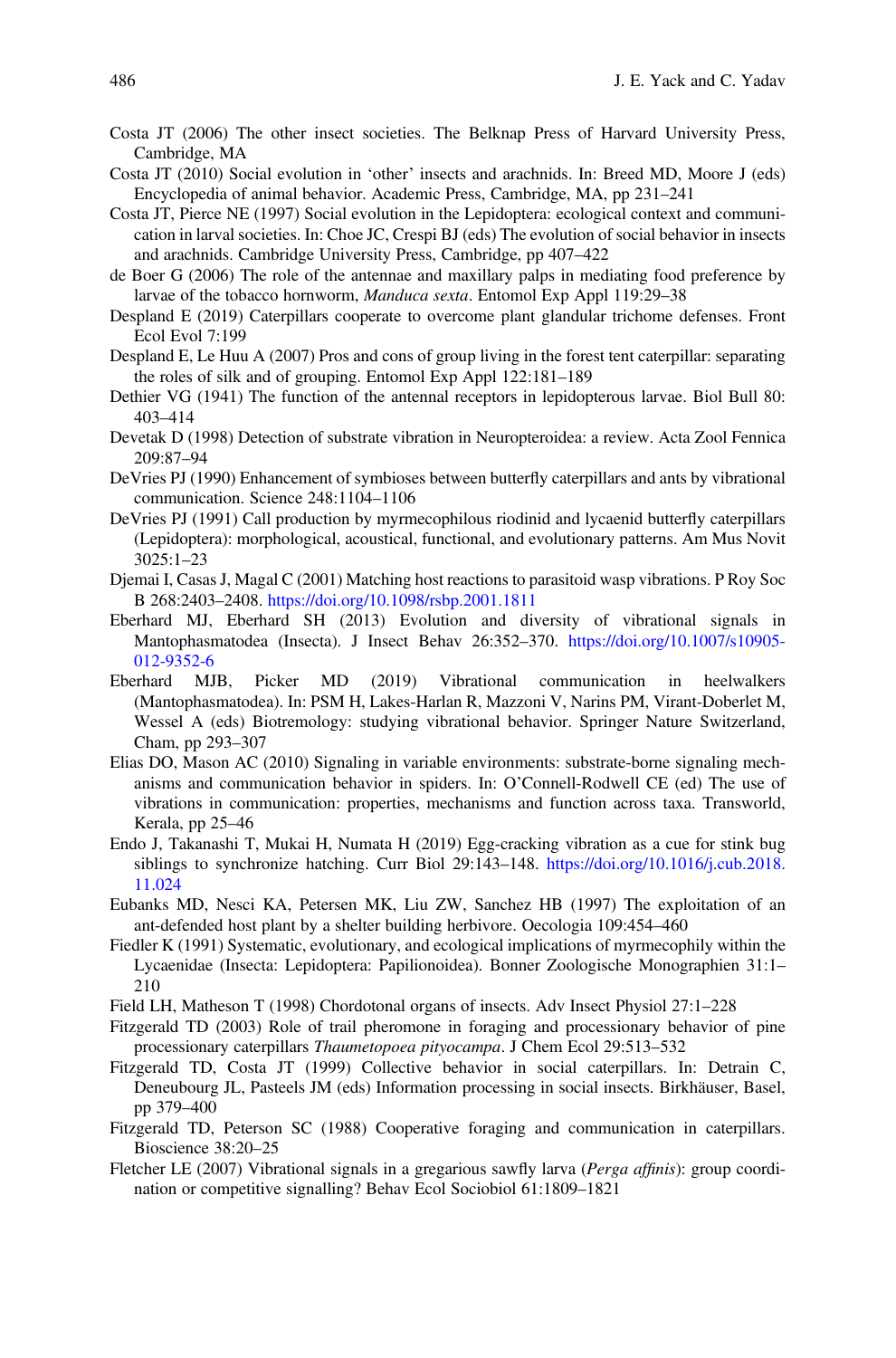- <span id="page-22-0"></span>Costa JT (2006) The other insect societies. The Belknap Press of Harvard University Press, Cambridge, MA
- Costa JT (2010) Social evolution in 'other' insects and arachnids. In: Breed MD, Moore J (eds) Encyclopedia of animal behavior. Academic Press, Cambridge, MA, pp 231–241
- Costa JT, Pierce NE (1997) Social evolution in the Lepidoptera: ecological context and communication in larval societies. In: Choe JC, Crespi BJ (eds) The evolution of social behavior in insects and arachnids. Cambridge University Press, Cambridge, pp 407–422
- de Boer G (2006) The role of the antennae and maxillary palps in mediating food preference by larvae of the tobacco hornworm, Manduca sexta. Entomol Exp Appl 119:29–38
- Despland E (2019) Caterpillars cooperate to overcome plant glandular trichome defenses. Front Ecol Evol 7:199
- Despland E, Le Huu A (2007) Pros and cons of group living in the forest tent caterpillar: separating the roles of silk and of grouping. Entomol Exp Appl 122:181–189
- Dethier VG (1941) The function of the antennal receptors in lepidopterous larvae. Biol Bull 80: 403–414
- Devetak D (1998) Detection of substrate vibration in Neuropteroidea: a review. Acta Zool Fennica 209:87–94
- DeVries PJ (1990) Enhancement of symbioses between butterfly caterpillars and ants by vibrational communication. Science 248:1104–1106
- DeVries PJ (1991) Call production by myrmecophilous riodinid and lycaenid butterfly caterpillars (Lepidoptera): morphological, acoustical, functional, and evolutionary patterns. Am Mus Novit 3025:1–23
- Djemai I, Casas J, Magal C (2001) Matching host reactions to parasitoid wasp vibrations. P Roy Soc B 268:2403–2408. <https://doi.org/10.1098/rsbp.2001.1811>
- Eberhard MJ, Eberhard SH (2013) Evolution and diversity of vibrational signals in Mantophasmatodea (Insecta). J Insect Behav 26:352–370. [https://doi.org/10.1007/s10905-](https://doi.org/10.1007/s10905-012-9352-6) [012-9352-6](https://doi.org/10.1007/s10905-012-9352-6)
- Eberhard MJB, Picker MD (2019) Vibrational communication in heelwalkers (Mantophasmatodea). In: PSM H, Lakes-Harlan R, Mazzoni V, Narins PM, Virant-Doberlet M, Wessel A (eds) Biotremology: studying vibrational behavior. Springer Nature Switzerland, Cham, pp 293–307
- Elias DO, Mason AC (2010) Signaling in variable environments: substrate-borne signaling mechanisms and communication behavior in spiders. In: O'Connell-Rodwell CE (ed) The use of vibrations in communication: properties, mechanisms and function across taxa. Transworld, Kerala, pp 25–46
- Endo J, Takanashi T, Mukai H, Numata H (2019) Egg-cracking vibration as a cue for stink bug siblings to synchronize hatching. Curr Biol 29:143–148. [https://doi.org/10.1016/j.cub.2018.](https://doi.org/10.1016/j.cub.2018.11.024) [11.024](https://doi.org/10.1016/j.cub.2018.11.024)
- Eubanks MD, Nesci KA, Petersen MK, Liu ZW, Sanchez HB (1997) The exploitation of an ant-defended host plant by a shelter building herbivore. Oecologia 109:454–460
- Fiedler K (1991) Systematic, evolutionary, and ecological implications of myrmecophily within the Lycaenidae (Insecta: Lepidoptera: Papilionoidea). Bonner Zoologische Monographien 31:1– 210
- Field LH, Matheson T (1998) Chordotonal organs of insects. Adv Insect Physiol 27:1–228
- Fitzgerald TD (2003) Role of trail pheromone in foraging and processionary behavior of pine processionary caterpillars Thaumetopoea pityocampa. J Chem Ecol 29:513–532
- Fitzgerald TD, Costa JT (1999) Collective behavior in social caterpillars. In: Detrain C, Deneubourg JL, Pasteels JM (eds) Information processing in social insects. Birkhäuser, Basel, pp 379–400
- Fitzgerald TD, Peterson SC (1988) Cooperative foraging and communication in caterpillars. Bioscience 38:20–25
- Fletcher LE (2007) Vibrational signals in a gregarious sawfly larva (Perga affinis): group coordination or competitive signalling? Behav Ecol Sociobiol 61:1809–1821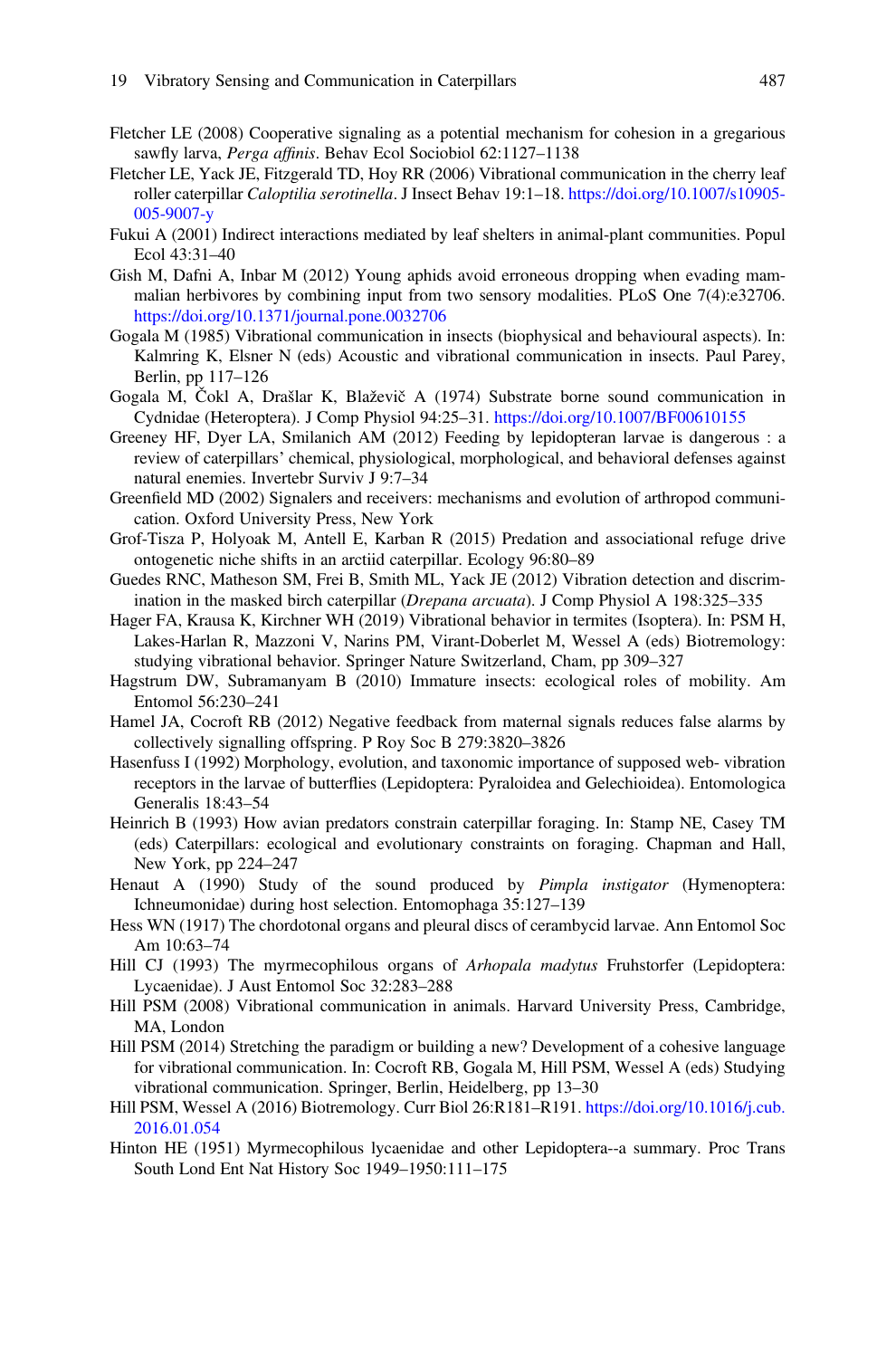- <span id="page-23-0"></span>Fletcher LE (2008) Cooperative signaling as a potential mechanism for cohesion in a gregarious sawfly larva, Perga affinis. Behav Ecol Sociobiol 62:1127-1138
- Fletcher LE, Yack JE, Fitzgerald TD, Hoy RR (2006) Vibrational communication in the cherry leaf roller caterpillar Caloptilia serotinella. J Insect Behav 19:1–18. [https://doi.org/10.1007/s10905-](https://doi.org/10.1007/s10905-005-9007-y) [005-9007-y](https://doi.org/10.1007/s10905-005-9007-y)
- Fukui A (2001) Indirect interactions mediated by leaf shelters in animal-plant communities. Popul Ecol 43:31–40
- Gish M, Dafni A, Inbar M (2012) Young aphids avoid erroneous dropping when evading mammalian herbivores by combining input from two sensory modalities. PLoS One 7(4):e32706. <https://doi.org/10.1371/journal.pone.0032706>
- Gogala M (1985) Vibrational communication in insects (biophysical and behavioural aspects). In: Kalmring K, Elsner N (eds) Acoustic and vibrational communication in insects. Paul Parey, Berlin, pp 117–126
- Gogala M, Čokl A, Drašlar K, Blaževič A (1974) Substrate borne sound communication in Cydnidae (Heteroptera). J Comp Physiol 94:25–31. <https://doi.org/10.1007/BF00610155>
- Greeney HF, Dyer LA, Smilanich AM (2012) Feeding by lepidopteran larvae is dangerous : a review of caterpillars' chemical, physiological, morphological, and behavioral defenses against natural enemies. Invertebr Surviv J 9:7–34
- Greenfield MD (2002) Signalers and receivers: mechanisms and evolution of arthropod communication. Oxford University Press, New York
- Grof-Tisza P, Holyoak M, Antell E, Karban R (2015) Predation and associational refuge drive ontogenetic niche shifts in an arctiid caterpillar. Ecology 96:80–89
- Guedes RNC, Matheson SM, Frei B, Smith ML, Yack JE (2012) Vibration detection and discrimination in the masked birch caterpillar (Drepana arcuata). J Comp Physiol A 198:325–335
- Hager FA, Krausa K, Kirchner WH (2019) Vibrational behavior in termites (Isoptera). In: PSM H, Lakes-Harlan R, Mazzoni V, Narins PM, Virant-Doberlet M, Wessel A (eds) Biotremology: studying vibrational behavior. Springer Nature Switzerland, Cham, pp 309–327
- Hagstrum DW, Subramanyam B (2010) Immature insects: ecological roles of mobility. Am Entomol 56:230–241
- Hamel JA, Cocroft RB (2012) Negative feedback from maternal signals reduces false alarms by collectively signalling offspring. P Roy Soc B 279:3820–3826
- Hasenfuss I (1992) Morphology, evolution, and taxonomic importance of supposed web- vibration receptors in the larvae of butterflies (Lepidoptera: Pyraloidea and Gelechioidea). Entomologica Generalis 18:43–54
- Heinrich B (1993) How avian predators constrain caterpillar foraging. In: Stamp NE, Casey TM (eds) Caterpillars: ecological and evolutionary constraints on foraging. Chapman and Hall, New York, pp 224–247
- Henaut A (1990) Study of the sound produced by Pimpla instigator (Hymenoptera: Ichneumonidae) during host selection. Entomophaga 35:127–139
- Hess WN (1917) The chordotonal organs and pleural discs of cerambycid larvae. Ann Entomol Soc Am 10:63–74
- Hill CJ (1993) The myrmecophilous organs of Arhopala madytus Fruhstorfer (Lepidoptera: Lycaenidae). J Aust Entomol Soc 32:283–288
- Hill PSM (2008) Vibrational communication in animals. Harvard University Press, Cambridge, MA, London
- Hill PSM (2014) Stretching the paradigm or building a new? Development of a cohesive language for vibrational communication. In: Cocroft RB, Gogala M, Hill PSM, Wessel A (eds) Studying vibrational communication. Springer, Berlin, Heidelberg, pp 13–30
- Hill PSM, Wessel A (2016) Biotremology. Curr Biol 26:R181–R191. [https://doi.org/10.1016/j.cub.](https://doi.org/10.1016/j.cub.2016.01.054) [2016.01.054](https://doi.org/10.1016/j.cub.2016.01.054)
- Hinton HE (1951) Myrmecophilous lycaenidae and other Lepidoptera--a summary. Proc Trans South Lond Ent Nat History Soc 1949–1950:111–175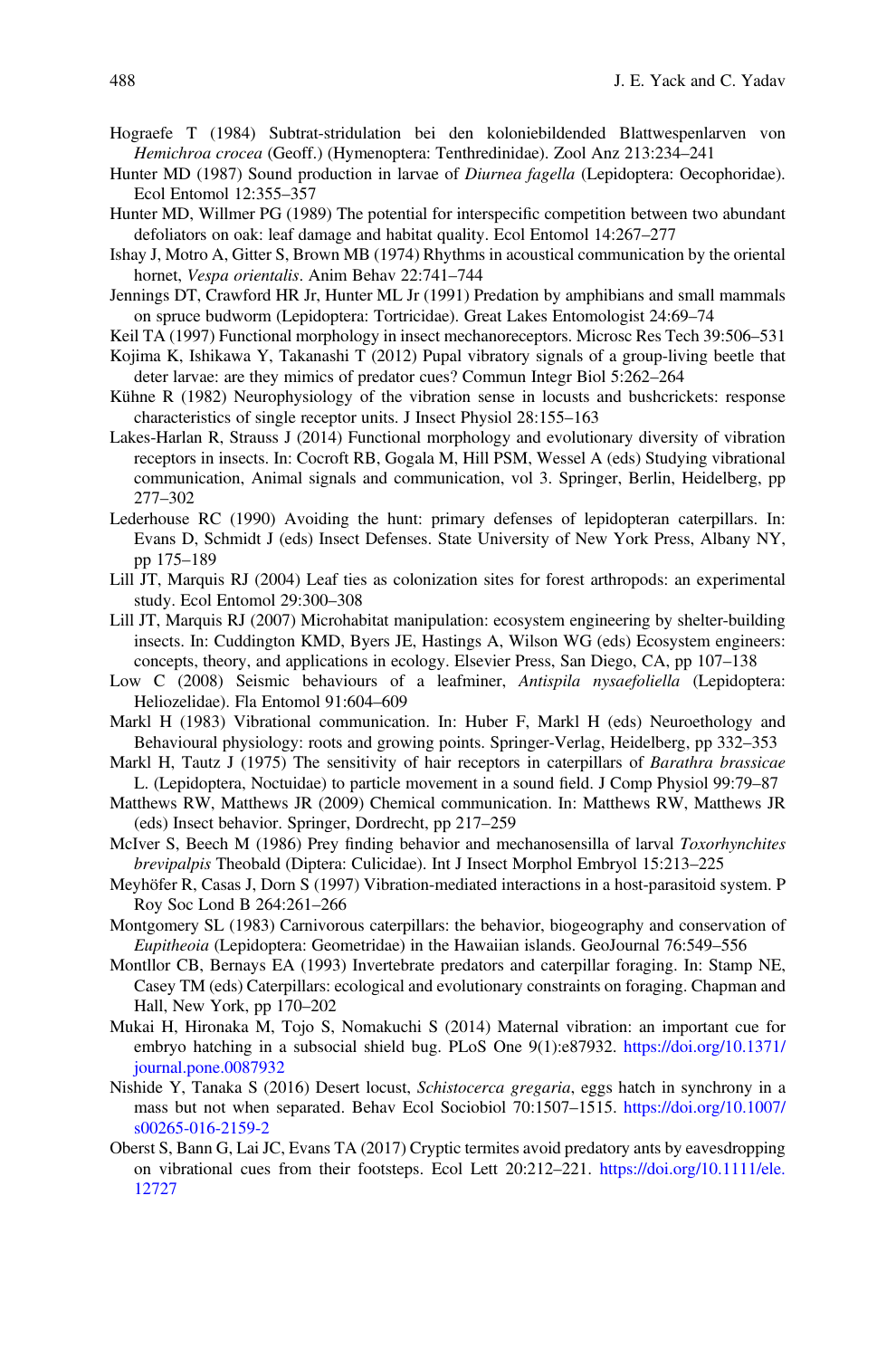- <span id="page-24-0"></span>Hograefe T (1984) Subtrat-stridulation bei den koloniebildended Blattwespenlarven von Hemichroa crocea (Geoff.) (Hymenoptera: Tenthredinidae). Zool Anz 213:234–241
- Hunter MD (1987) Sound production in larvae of *Diurnea fagella* (Lepidoptera: Oecophoridae). Ecol Entomol 12:355–357
- Hunter MD, Willmer PG (1989) The potential for interspecific competition between two abundant defoliators on oak: leaf damage and habitat quality. Ecol Entomol 14:267–277
- Ishay J, Motro A, Gitter S, Brown MB (1974) Rhythms in acoustical communication by the oriental hornet, Vespa orientalis. Anim Behav 22:741–744
- Jennings DT, Crawford HR Jr, Hunter ML Jr (1991) Predation by amphibians and small mammals on spruce budworm (Lepidoptera: Tortricidae). Great Lakes Entomologist 24:69–74
- Keil TA (1997) Functional morphology in insect mechanoreceptors. Microsc Res Tech 39:506–531
- Kojima K, Ishikawa Y, Takanashi T (2012) Pupal vibratory signals of a group-living beetle that deter larvae: are they mimics of predator cues? Commun Integr Biol 5:262–264
- Kühne R (1982) Neurophysiology of the vibration sense in locusts and bushcrickets: response characteristics of single receptor units. J Insect Physiol 28:155–163
- Lakes-Harlan R, Strauss J (2014) Functional morphology and evolutionary diversity of vibration receptors in insects. In: Cocroft RB, Gogala M, Hill PSM, Wessel A (eds) Studying vibrational communication, Animal signals and communication, vol 3. Springer, Berlin, Heidelberg, pp 277–302
- Lederhouse RC (1990) Avoiding the hunt: primary defenses of lepidopteran caterpillars. In: Evans D, Schmidt J (eds) Insect Defenses. State University of New York Press, Albany NY, pp 175–189
- Lill JT, Marquis RJ (2004) Leaf ties as colonization sites for forest arthropods: an experimental study. Ecol Entomol 29:300–308
- Lill JT, Marquis RJ (2007) Microhabitat manipulation: ecosystem engineering by shelter-building insects. In: Cuddington KMD, Byers JE, Hastings A, Wilson WG (eds) Ecosystem engineers: concepts, theory, and applications in ecology. Elsevier Press, San Diego, CA, pp 107–138
- Low C (2008) Seismic behaviours of a leafminer, Antispila nysaefoliella (Lepidoptera: Heliozelidae). Fla Entomol 91:604–609
- Markl H (1983) Vibrational communication. In: Huber F, Markl H (eds) Neuroethology and Behavioural physiology: roots and growing points. Springer-Verlag, Heidelberg, pp 332–353
- Markl H, Tautz J (1975) The sensitivity of hair receptors in caterpillars of Barathra brassicae L. (Lepidoptera, Noctuidae) to particle movement in a sound field. J Comp Physiol 99:79–87
- Matthews RW, Matthews JR (2009) Chemical communication. In: Matthews RW, Matthews JR (eds) Insect behavior. Springer, Dordrecht, pp 217–259
- McIver S, Beech M (1986) Prey finding behavior and mechanosensilla of larval Toxorhynchites brevipalpis Theobald (Diptera: Culicidae). Int J Insect Morphol Embryol 15:213–225
- Meyhöfer R, Casas J, Dorn S (1997) Vibration-mediated interactions in a host-parasitoid system. P Roy Soc Lond B 264:261–266
- Montgomery SL (1983) Carnivorous caterpillars: the behavior, biogeography and conservation of Eupitheoia (Lepidoptera: Geometridae) in the Hawaiian islands. GeoJournal 76:549–556
- Montllor CB, Bernays EA (1993) Invertebrate predators and caterpillar foraging. In: Stamp NE, Casey TM (eds) Caterpillars: ecological and evolutionary constraints on foraging. Chapman and Hall, New York, pp 170–202
- Mukai H, Hironaka M, Tojo S, Nomakuchi S (2014) Maternal vibration: an important cue for embryo hatching in a subsocial shield bug. PLoS One 9(1):e87932. [https://doi.org/10.1371/](https://doi.org/10.1371/journal.pone.0087932) [journal.pone.0087932](https://doi.org/10.1371/journal.pone.0087932)
- Nishide Y, Tanaka S (2016) Desert locust, Schistocerca gregaria, eggs hatch in synchrony in a mass but not when separated. Behav Ecol Sociobiol 70:1507–1515. [https://doi.org/10.1007/](https://doi.org/10.1007/s00265-016-2159-2) [s00265-016-2159-2](https://doi.org/10.1007/s00265-016-2159-2)
- Oberst S, Bann G, Lai JC, Evans TA (2017) Cryptic termites avoid predatory ants by eavesdropping on vibrational cues from their footsteps. Ecol Lett 20:212–221. [https://doi.org/10.1111/ele.](https://doi.org/10.1111/ele.12727) [12727](https://doi.org/10.1111/ele.12727)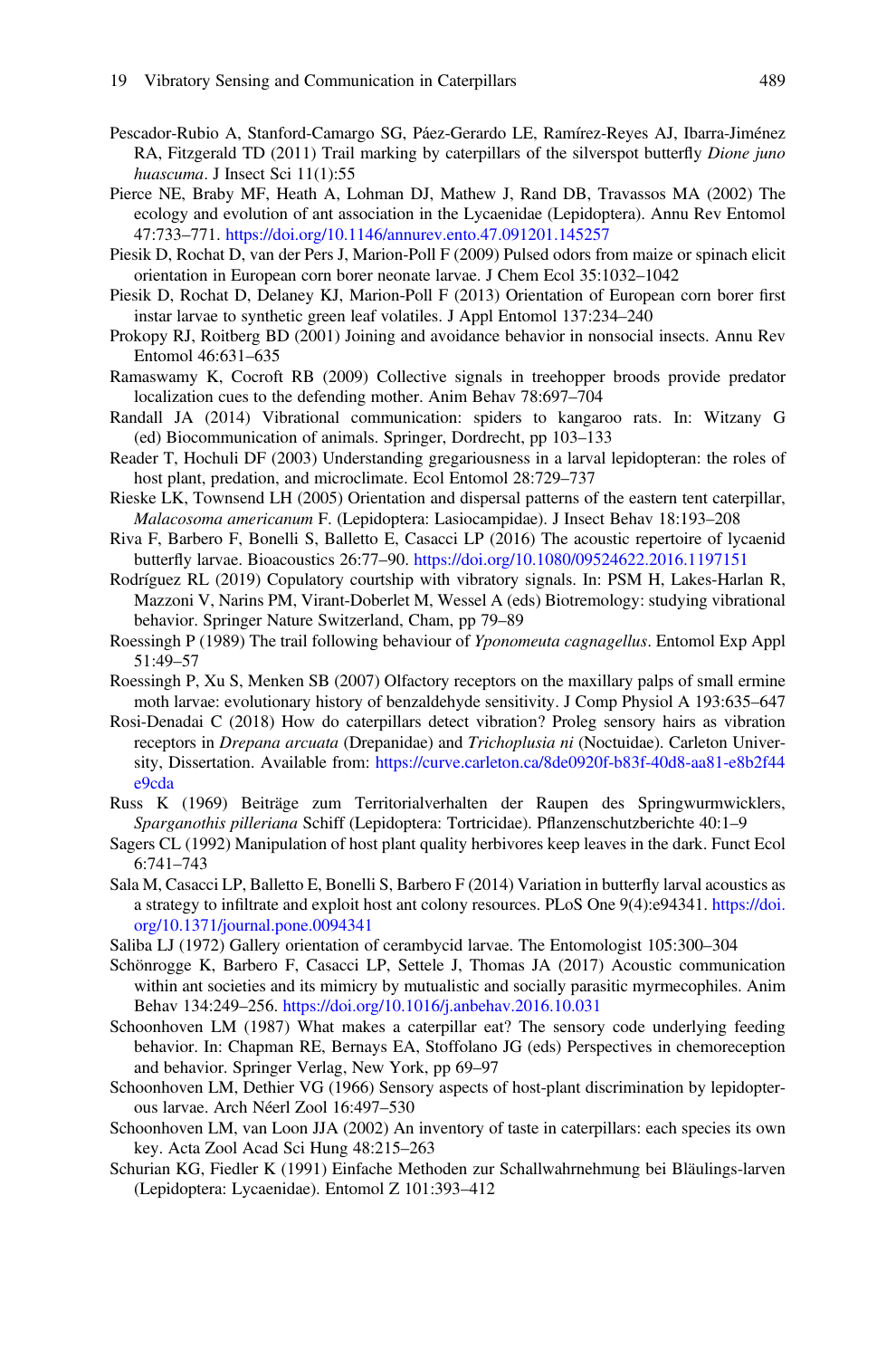- <span id="page-25-0"></span>Pescador-Rubio A, Stanford-Camargo SG, Páez-Gerardo LE, Ramírez-Reyes AJ, Ibarra-Jiménez RA, Fitzgerald TD (2011) Trail marking by caterpillars of the silverspot butterfly *Dione juno* huascuma. J Insect Sci 11(1):55
- Pierce NE, Braby MF, Heath A, Lohman DJ, Mathew J, Rand DB, Travassos MA (2002) The ecology and evolution of ant association in the Lycaenidae (Lepidoptera). Annu Rev Entomol 47:733–771. <https://doi.org/10.1146/annurev.ento.47.091201.145257>
- Piesik D, Rochat D, van der Pers J, Marion-Poll F (2009) Pulsed odors from maize or spinach elicit orientation in European corn borer neonate larvae. J Chem Ecol 35:1032–1042
- Piesik D, Rochat D, Delaney KJ, Marion-Poll F (2013) Orientation of European corn borer first instar larvae to synthetic green leaf volatiles. J Appl Entomol 137:234–240
- Prokopy RJ, Roitberg BD (2001) Joining and avoidance behavior in nonsocial insects. Annu Rev Entomol 46:631–635
- Ramaswamy K, Cocroft RB (2009) Collective signals in treehopper broods provide predator localization cues to the defending mother. Anim Behav 78:697–704
- Randall JA (2014) Vibrational communication: spiders to kangaroo rats. In: Witzany G (ed) Biocommunication of animals. Springer, Dordrecht, pp 103–133
- Reader T, Hochuli DF (2003) Understanding gregariousness in a larval lepidopteran: the roles of host plant, predation, and microclimate. Ecol Entomol 28:729–737
- Rieske LK, Townsend LH (2005) Orientation and dispersal patterns of the eastern tent caterpillar, Malacosoma americanum F. (Lepidoptera: Lasiocampidae). J Insect Behav 18:193–208
- Riva F, Barbero F, Bonelli S, Balletto E, Casacci LP (2016) The acoustic repertoire of lycaenid butterfly larvae. Bioacoustics 26:77–90. <https://doi.org/10.1080/09524622.2016.1197151>
- Rodríguez RL (2019) Copulatory courtship with vibratory signals. In: PSM H, Lakes-Harlan R, Mazzoni V, Narins PM, Virant-Doberlet M, Wessel A (eds) Biotremology: studying vibrational behavior. Springer Nature Switzerland, Cham, pp 79–89
- Roessingh P (1989) The trail following behaviour of Yponomeuta cagnagellus. Entomol Exp Appl 51:49–57
- Roessingh P, Xu S, Menken SB (2007) Olfactory receptors on the maxillary palps of small ermine moth larvae: evolutionary history of benzaldehyde sensitivity. J Comp Physiol A 193:635–647
- Rosi-Denadai C (2018) How do caterpillars detect vibration? Proleg sensory hairs as vibration receptors in *Drepana arcuata* (Drepanidae) and *Trichoplusia ni* (Noctuidae). Carleton University, Dissertation. Available from: [https://curve.carleton.ca/8de0920f-b83f-40d8-aa81-e8b2f44](https://curve.carleton.ca/8de0920f-b83f-40d8-aa81-e8b2f44e9cda) [e9cda](https://curve.carleton.ca/8de0920f-b83f-40d8-aa81-e8b2f44e9cda)
- Russ K (1969) Beiträge zum Territorialverhalten der Raupen des Springwurmwicklers, Sparganothis pilleriana Schiff (Lepidoptera: Tortricidae). Pflanzenschutzberichte 40:1–9
- Sagers CL (1992) Manipulation of host plant quality herbivores keep leaves in the dark. Funct Ecol 6:741–743
- Sala M, Casacci LP, Balletto E, Bonelli S, Barbero F (2014) Variation in butterfly larval acoustics as a strategy to infiltrate and exploit host ant colony resources. PLoS One 9(4):e94341. [https://doi.](https://doi.org/10.1371/journal.pone.0094341) [org/10.1371/journal.pone.0094341](https://doi.org/10.1371/journal.pone.0094341)
- Saliba LJ (1972) Gallery orientation of cerambycid larvae. The Entomologist 105:300–304
- Schönrogge K, Barbero F, Casacci LP, Settele J, Thomas JA (2017) Acoustic communication within ant societies and its mimicry by mutualistic and socially parasitic myrmecophiles. Anim Behav 134:249–256. <https://doi.org/10.1016/j.anbehav.2016.10.031>
- Schoonhoven LM (1987) What makes a caterpillar eat? The sensory code underlying feeding behavior. In: Chapman RE, Bernays EA, Stoffolano JG (eds) Perspectives in chemoreception and behavior. Springer Verlag, New York, pp 69–97
- Schoonhoven LM, Dethier VG (1966) Sensory aspects of host-plant discrimination by lepidopterous larvae. Arch Néerl Zool 16:497–530
- Schoonhoven LM, van Loon JJA (2002) An inventory of taste in caterpillars: each species its own key. Acta Zool Acad Sci Hung 48:215–263
- Schurian KG, Fiedler K (1991) Einfache Methoden zur Schallwahrnehmung bei Bläulings-larven (Lepidoptera: Lycaenidae). Entomol Z 101:393–412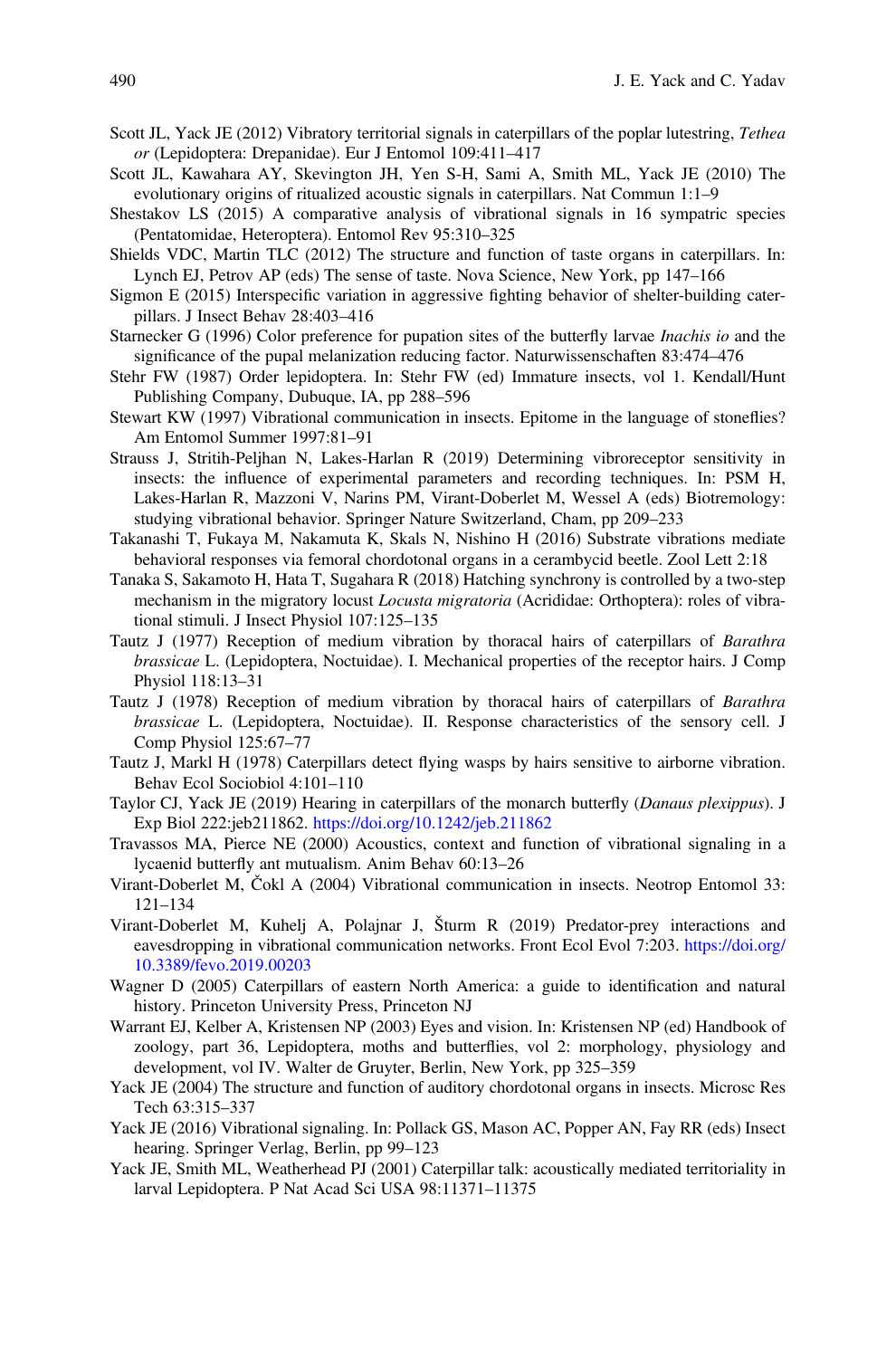- <span id="page-26-0"></span>Scott JL, Yack JE (2012) Vibratory territorial signals in caterpillars of the poplar lutestring, Tethea or (Lepidoptera: Drepanidae). Eur J Entomol 109:411–417
- Scott JL, Kawahara AY, Skevington JH, Yen S-H, Sami A, Smith ML, Yack JE (2010) The evolutionary origins of ritualized acoustic signals in caterpillars. Nat Commun 1:1–9
- Shestakov LS (2015) A comparative analysis of vibrational signals in 16 sympatric species (Pentatomidae, Heteroptera). Entomol Rev 95:310–325
- Shields VDC, Martin TLC (2012) The structure and function of taste organs in caterpillars. In: Lynch EJ, Petrov AP (eds) The sense of taste. Nova Science, New York, pp 147–166
- Sigmon E (2015) Interspecific variation in aggressive fighting behavior of shelter-building caterpillars. J Insect Behav 28:403–416
- Starnecker G (1996) Color preference for pupation sites of the butterfly larvae Inachis io and the significance of the pupal melanization reducing factor. Naturwissenschaften 83:474–476
- Stehr FW (1987) Order lepidoptera. In: Stehr FW (ed) Immature insects, vol 1. Kendall/Hunt Publishing Company, Dubuque, IA, pp 288–596
- Stewart KW (1997) Vibrational communication in insects. Epitome in the language of stoneflies? Am Entomol Summer 1997:81–91
- Strauss J, Stritih-Peljhan N, Lakes-Harlan R (2019) Determining vibroreceptor sensitivity in insects: the influence of experimental parameters and recording techniques. In: PSM H, Lakes-Harlan R, Mazzoni V, Narins PM, Virant-Doberlet M, Wessel A (eds) Biotremology: studying vibrational behavior. Springer Nature Switzerland, Cham, pp 209–233
- Takanashi T, Fukaya M, Nakamuta K, Skals N, Nishino H (2016) Substrate vibrations mediate behavioral responses via femoral chordotonal organs in a cerambycid beetle. Zool Lett 2:18
- Tanaka S, Sakamoto H, Hata T, Sugahara R (2018) Hatching synchrony is controlled by a two-step mechanism in the migratory locust *Locusta migratoria* (Acrididae: Orthoptera): roles of vibrational stimuli. J Insect Physiol 107:125–135
- Tautz J (1977) Reception of medium vibration by thoracal hairs of caterpillars of Barathra brassicae L. (Lepidoptera, Noctuidae). I. Mechanical properties of the receptor hairs. J Comp Physiol 118:13–31
- Tautz J (1978) Reception of medium vibration by thoracal hairs of caterpillars of Barathra brassicae L. (Lepidoptera, Noctuidae). II. Response characteristics of the sensory cell. J Comp Physiol 125:67–77
- Tautz J, Markl H (1978) Caterpillars detect flying wasps by hairs sensitive to airborne vibration. Behav Ecol Sociobiol 4:101–110
- Taylor CJ, Yack JE (2019) Hearing in caterpillars of the monarch butterfly (Danaus plexippus). J Exp Biol 222:jeb211862. <https://doi.org/10.1242/jeb.211862>
- Travassos MA, Pierce NE (2000) Acoustics, context and function of vibrational signaling in a lycaenid butterfly ant mutualism. Anim Behav 60:13–26
- Virant-Doberlet M, Čokl A (2004) Vibrational communication in insects. Neotrop Entomol 33: 121–134
- Virant-Doberlet M, Kuhelj A, Polajnar J, Šturm R (2019) Predator-prey interactions and eavesdropping in vibrational communication networks. Front Ecol Evol 7:203. [https://doi.org/](https://doi.org/10.3389/fevo.2019.00203) [10.3389/fevo.2019.00203](https://doi.org/10.3389/fevo.2019.00203)
- Wagner D (2005) Caterpillars of eastern North America: a guide to identification and natural history. Princeton University Press, Princeton NJ
- Warrant EJ, Kelber A, Kristensen NP (2003) Eyes and vision. In: Kristensen NP (ed) Handbook of zoology, part 36, Lepidoptera, moths and butterflies, vol 2: morphology, physiology and development, vol IV. Walter de Gruyter, Berlin, New York, pp 325–359
- Yack JE (2004) The structure and function of auditory chordotonal organs in insects. Microsc Res Tech 63:315–337
- Yack JE (2016) Vibrational signaling. In: Pollack GS, Mason AC, Popper AN, Fay RR (eds) Insect hearing. Springer Verlag, Berlin, pp 99–123
- Yack JE, Smith ML, Weatherhead PJ (2001) Caterpillar talk: acoustically mediated territoriality in larval Lepidoptera. P Nat Acad Sci USA 98:11371–11375